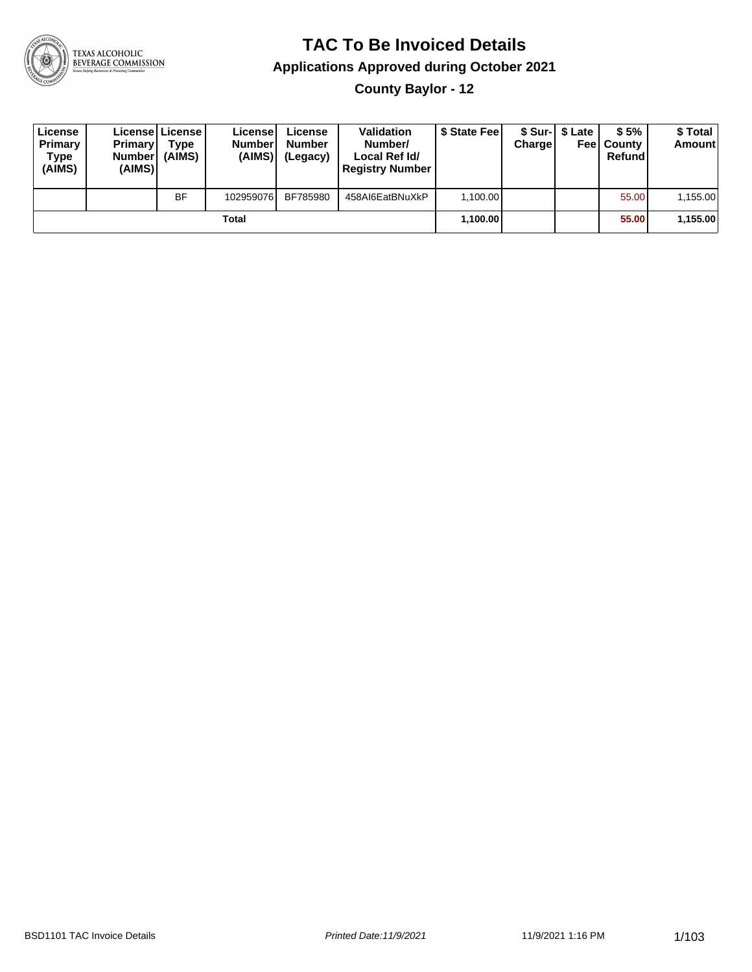

### **TAC To Be Invoiced Details**

#### **Applications Approved during October 2021**

**County Baylor - 12**

| License<br>Primary<br>Type<br>(AIMS) | <b>Primary</b><br>Number<br>(AIMS) | Licensel License I<br>Type<br>(AIMS) | License<br><b>Number</b><br>(AIMS) | License<br><b>Number</b><br>(Legacy) | <b>Validation</b><br>Number/<br>Local Ref Id/<br><b>Registry Number</b> | \$ State Feel | <b>Charge</b> | \$ Sur-1 \$ Late | \$5%<br><b>Feel County</b><br>Refund | \$ Total<br><b>Amount</b> |
|--------------------------------------|------------------------------------|--------------------------------------|------------------------------------|--------------------------------------|-------------------------------------------------------------------------|---------------|---------------|------------------|--------------------------------------|---------------------------|
|                                      |                                    | <b>BF</b>                            | 102959076                          | BF785980                             | 458AI6EatBNuXkP                                                         | 1.100.00      |               |                  | 55.00                                | 1,155.00                  |
|                                      |                                    |                                      | Total                              |                                      |                                                                         | 1,100.00      |               |                  | 55.00                                | 1,155.00                  |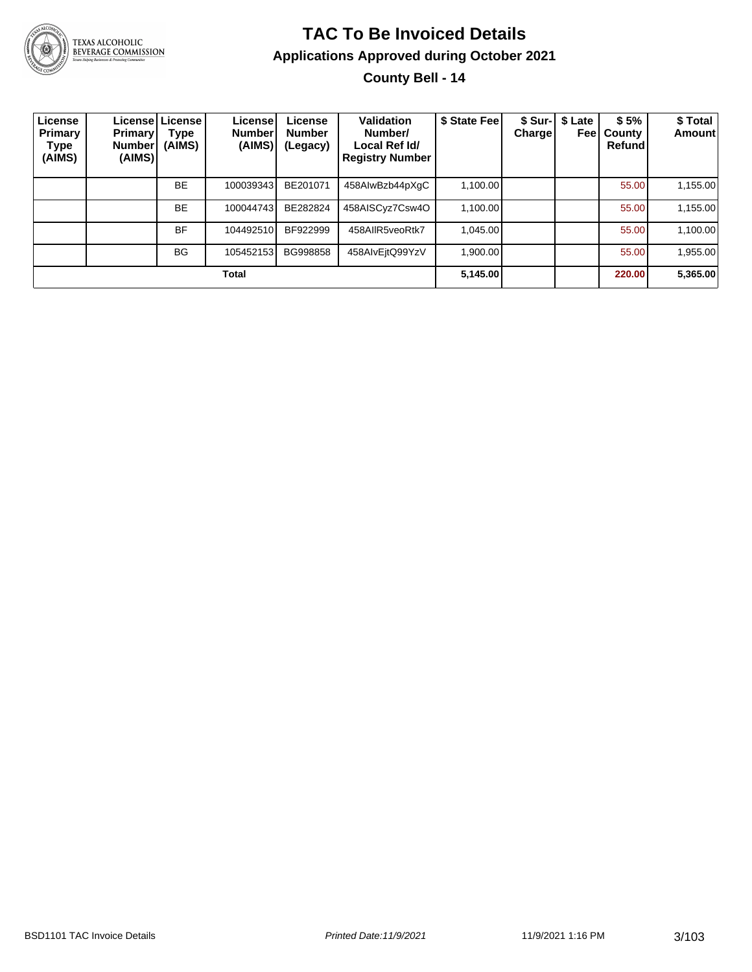

#### **TAC To Be Invoiced Details Applications Approved during October 2021 County Bell - 14**

| License<br>Primary<br>Type<br>(AIMS) | <b>Primary!</b><br><b>Number</b><br>(AIMS) | License   License  <br>Type<br>(AIMS) | License <sup>!</sup><br><b>Number</b><br>(AIMS) | License<br><b>Number</b><br>(Legacy) | <b>Validation</b><br>Number/<br>Local Ref Id/<br><b>Registry Number</b> | \$ State Fee | \$ Sur-I<br>Chargel | \$ Late<br>Feel | \$5%<br>County<br>Refund | \$ Total<br>Amount |
|--------------------------------------|--------------------------------------------|---------------------------------------|-------------------------------------------------|--------------------------------------|-------------------------------------------------------------------------|--------------|---------------------|-----------------|--------------------------|--------------------|
|                                      |                                            | <b>BE</b>                             | 100039343                                       | BE201071                             | 458AIwBzb44pXqC                                                         | 1,100.00     |                     |                 | 55.00                    | 1,155.00           |
|                                      |                                            | <b>BE</b>                             | 100044743                                       | BE282824                             | 458AISCyz7Csw4O                                                         | 1.100.00     |                     |                 | 55.00                    | 1,155.00           |
|                                      |                                            | <b>BF</b>                             | 104492510                                       | BF922999                             | 458AIIR5veoRtk7                                                         | 1.045.00     |                     |                 | 55.00                    | 1,100.00           |
|                                      |                                            | <b>BG</b>                             | 105452153                                       | BG998858                             | 458AlvEitQ99YzV                                                         | 1,900.00     |                     |                 | 55.00                    | 1,955.00           |
|                                      |                                            |                                       | <b>Total</b>                                    |                                      |                                                                         | 5,145.00     |                     |                 | 220.00                   | 5,365.00           |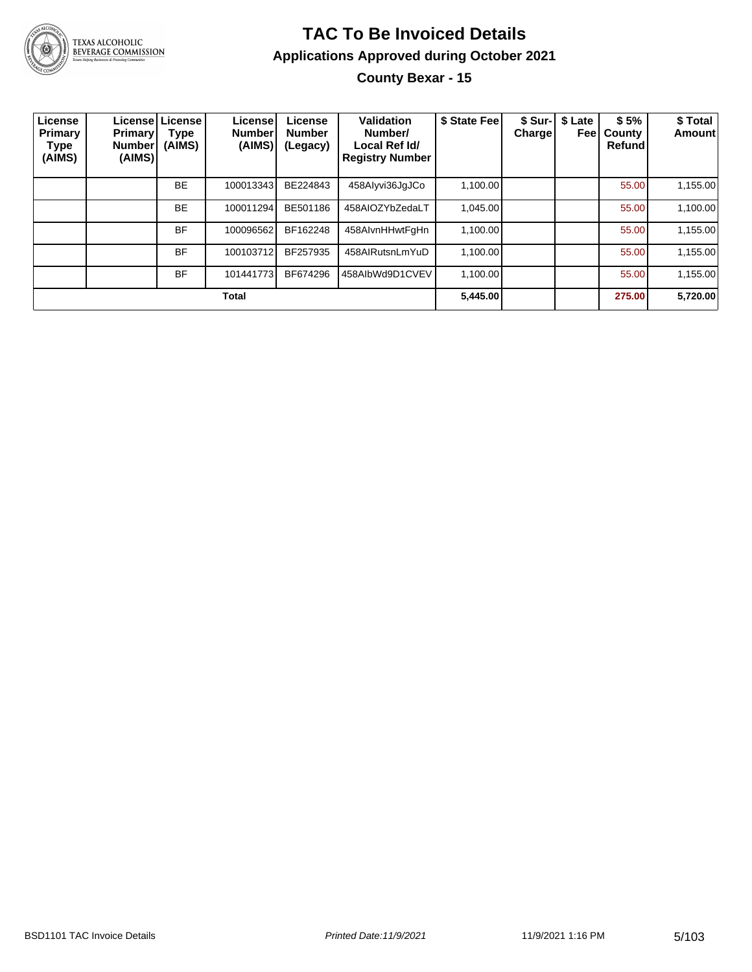

#### **TAC To Be Invoiced Details Applications Approved during October 2021 County Bexar - 15**

| License<br>Primary<br>Type<br>(AIMS) | <b>Primary</b><br><b>Number</b><br>(AIMS) | Licensel License<br>Type<br>(AIMS) | License!<br><b>Number</b><br>(AIMS) | License<br><b>Number</b><br>(Legacy) | Validation<br>Number/<br>Local Ref Id/<br><b>Registry Number</b> | \$ State Fee | \$ Sur- <br>Chargel | \$ Late<br>Feel | \$5%<br>County<br>Refund | \$ Total<br>Amount |
|--------------------------------------|-------------------------------------------|------------------------------------|-------------------------------------|--------------------------------------|------------------------------------------------------------------|--------------|---------------------|-----------------|--------------------------|--------------------|
|                                      |                                           | <b>BE</b>                          | 100013343                           | BE224843                             | 458Alyvi36JqJCo                                                  | 1,100.00     |                     |                 | 55.00                    | 1,155.00           |
|                                      |                                           | <b>BE</b>                          | 100011294                           | BE501186                             | 458AIOZYbZedaLT                                                  | 1.045.00     |                     |                 | 55.00                    | 1,100.00           |
|                                      |                                           | <b>BF</b>                          | 100096562                           | BF162248                             | 458AlvnHHwtFqHn                                                  | 1,100.00     |                     |                 | 55.00                    | 1,155.00           |
|                                      |                                           | <b>BF</b>                          | 100103712                           | BF257935                             | 458AIRutsnLmYuD                                                  | 1.100.00     |                     |                 | 55.00                    | 1,155.00           |
|                                      |                                           | <b>BF</b>                          | 101441773                           | BF674296                             | 458AlbWd9D1CVEV                                                  | 1,100.00     |                     |                 | 55.00                    | 1,155.00           |
|                                      |                                           |                                    | <b>Total</b>                        |                                      |                                                                  | 5,445.00     |                     |                 | 275.00                   | 5,720.00           |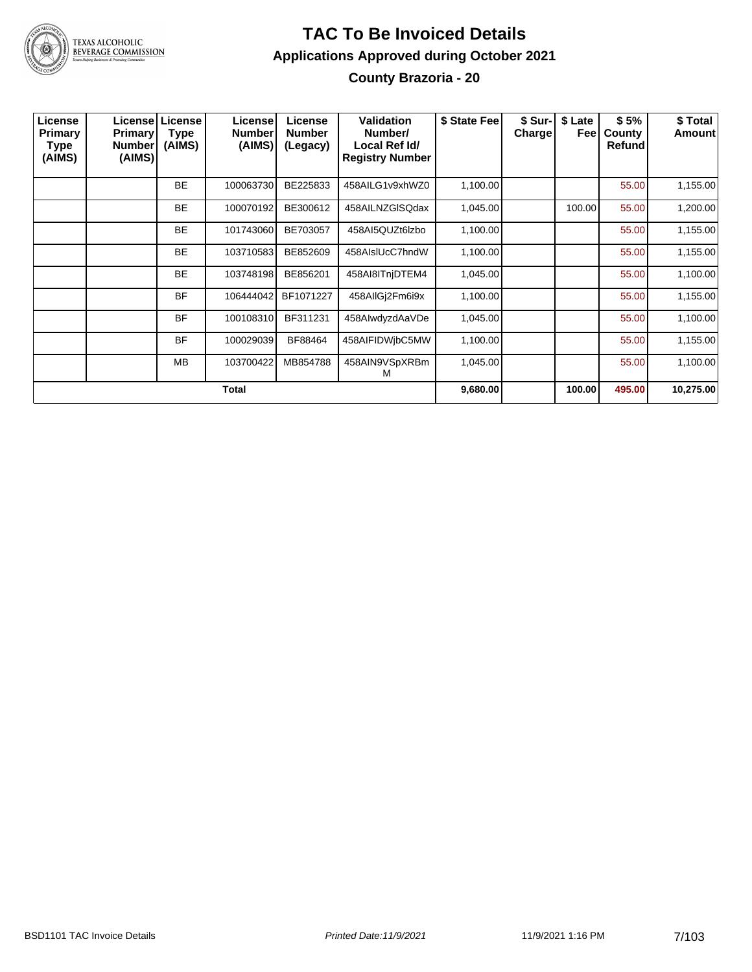

#### **TAC To Be Invoiced Details Applications Approved during October 2021 County Brazoria - 20**

| License<br><b>Primary</b><br>Type<br>(AIMS) | <b>Primary</b><br><b>Number</b><br>(AIMS) | Licensel License<br>Type<br>(AIMS) | License<br><b>Number</b><br>(AIMS) | License<br><b>Number</b><br>(Legacy) | Validation<br>Number/<br>Local Ref Id/<br><b>Registry Number</b> | \$ State Fee | \$ Sur-<br>Charge | \$ Late<br>Feel | \$5%<br>County<br><b>Refund</b> | \$ Total<br>Amount |
|---------------------------------------------|-------------------------------------------|------------------------------------|------------------------------------|--------------------------------------|------------------------------------------------------------------|--------------|-------------------|-----------------|---------------------------------|--------------------|
|                                             |                                           | <b>BE</b>                          | 100063730                          | BE225833                             | 458AILG1v9xhWZ0                                                  | 1,100.00     |                   |                 | 55.00                           | 1,155.00           |
|                                             |                                           | <b>BE</b>                          | 100070192                          | BE300612                             | 458AILNZGISQdax                                                  | 1,045.00     |                   | 100.00          | 55.00                           | 1,200.00           |
|                                             |                                           | <b>BE</b>                          | 101743060                          | BE703057                             | 458AI5QUZt6lzbo                                                  | 1,100.00     |                   |                 | 55.00                           | 1,155.00           |
|                                             |                                           | <b>BE</b>                          | 103710583                          | BE852609                             | 458AIsIUcC7hndW                                                  | 1,100.00     |                   |                 | 55.00                           | 1,155.00           |
|                                             |                                           | <b>BE</b>                          | 103748198                          | BE856201                             | 458AI8ITnjDTEM4                                                  | 1,045.00     |                   |                 | 55.00                           | 1,100.00           |
|                                             |                                           | <b>BF</b>                          | 106444042                          | BF1071227                            | 458AllGj2Fm6i9x                                                  | 1,100.00     |                   |                 | 55.00                           | 1,155.00           |
|                                             |                                           | <b>BF</b>                          | 100108310                          | BF311231                             | 458AlwdyzdAaVDe                                                  | 1,045.00     |                   |                 | 55.00                           | 1,100.00           |
|                                             |                                           | <b>BF</b>                          | 100029039                          | BF88464                              | 458AIFIDWjbC5MW                                                  | 1,100.00     |                   |                 | 55.00                           | 1,155.00           |
|                                             |                                           | <b>MB</b>                          | 103700422                          | MB854788                             | 458AIN9VSpXRBm<br>М                                              | 1,045.00     |                   |                 | 55.00                           | 1,100.00           |
|                                             |                                           |                                    | Total                              |                                      |                                                                  | 9,680.00     |                   | 100.00          | 495.00                          | 10,275.00          |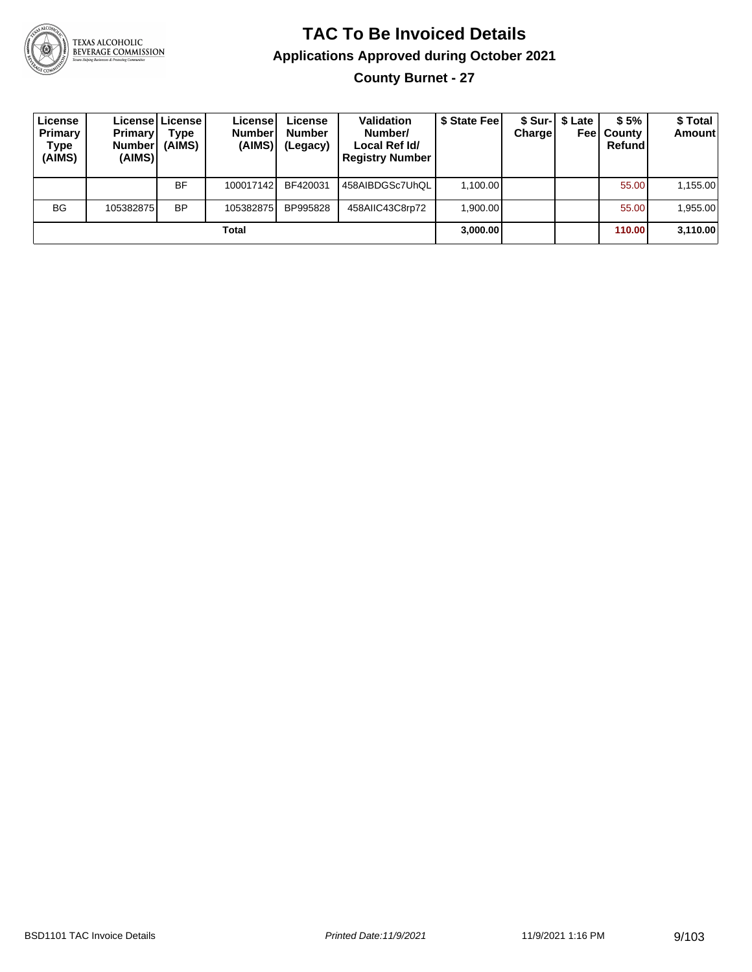

**County Burnet - 27**

| License<br><b>Primary</b><br>Type<br>(AIMS) | <b>Primary</b><br><b>Number</b><br>(AIMS) | License License I<br>Type<br>(AIMS) | License<br><b>Number</b><br>(AIMS) | License<br><b>Number</b><br>(Legacy) | <b>Validation</b><br>Number/<br>Local Ref Id/<br><b>Registry Number</b> | \$ State Feel | Charge | \$ Sur-  \$ Late | \$5%<br><b>Feel County</b><br>Refund | \$ Total<br><b>Amount</b> |
|---------------------------------------------|-------------------------------------------|-------------------------------------|------------------------------------|--------------------------------------|-------------------------------------------------------------------------|---------------|--------|------------------|--------------------------------------|---------------------------|
|                                             |                                           | BF                                  | 100017142                          | BF420031                             | 458AIBDGSc7UhQL                                                         | 1.100.00      |        |                  | 55.00                                | 1,155.00                  |
| <b>BG</b>                                   | 105382875                                 | <b>BP</b>                           | 105382875                          | BP995828                             | 458AIIC43C8rp72                                                         | 1.900.00      |        |                  | 55.00                                | 1,955.00                  |
|                                             |                                           |                                     | Total                              |                                      |                                                                         | 3,000.00      |        |                  | 110.00                               | 3,110.00                  |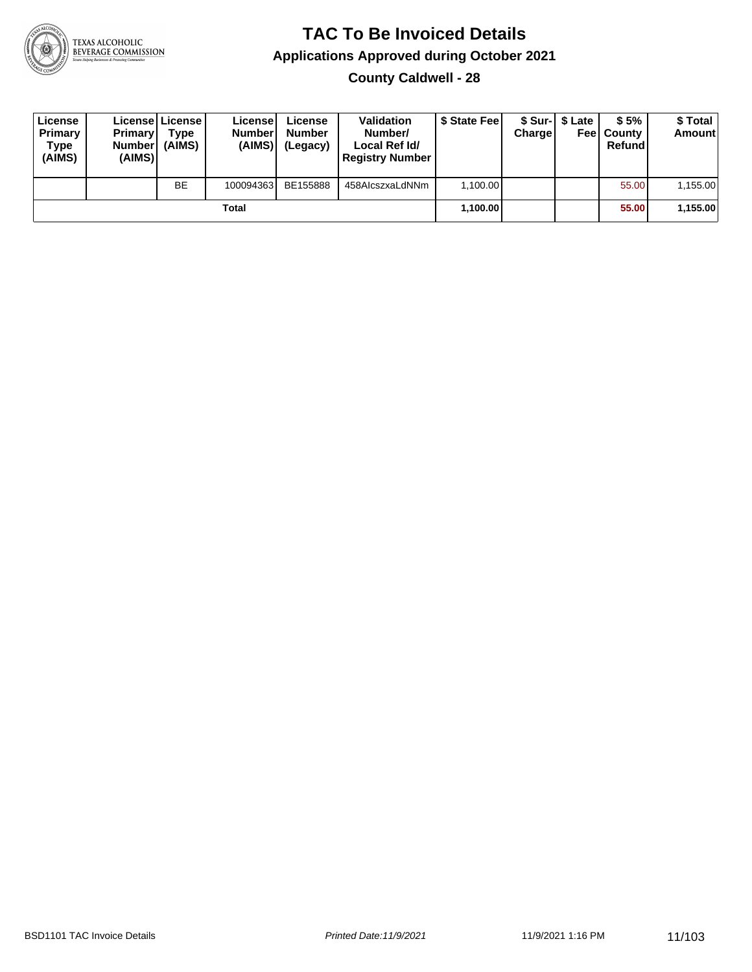

**County Caldwell - 28**

| License<br>Primary<br>Type<br>(AIMS) | <b>Primary</b><br><b>Number</b><br>(AIMS) | Licensel License<br>Type<br>(AIMS) | License<br><b>Number</b><br>(AIMS) | License<br><b>Number</b><br>(Legacy) | <b>Validation</b><br>Number/<br>Local Ref Id/<br><b>Registry Number</b> | \$ State Feel | Charge | \$ Sur-1 \$ Late | \$5%<br><b>Feel County</b><br>Refund | \$ Total<br><b>Amount</b> |
|--------------------------------------|-------------------------------------------|------------------------------------|------------------------------------|--------------------------------------|-------------------------------------------------------------------------|---------------|--------|------------------|--------------------------------------|---------------------------|
|                                      |                                           | <b>BE</b>                          | 100094363                          | BE155888                             | 458AlcszxaLdNNm                                                         | 1.100.00      |        |                  | 55.00                                | 1,155.00                  |
|                                      |                                           |                                    | Total                              |                                      |                                                                         | 1,100.00      |        |                  | 55.00                                | 1,155.00                  |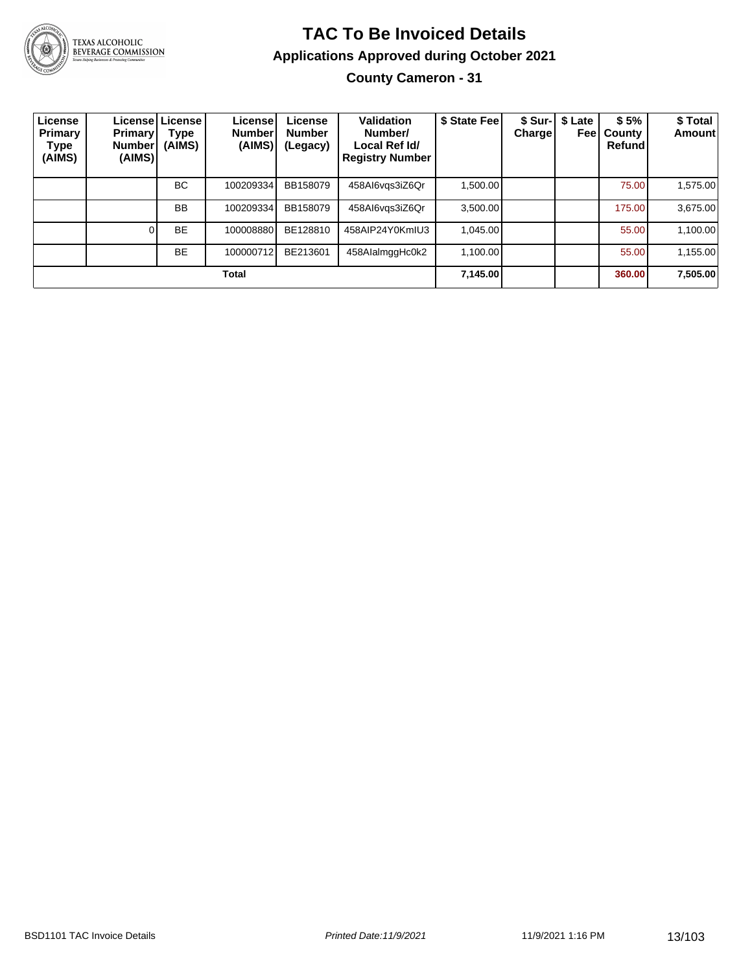

### **TAC To Be Invoiced Details Applications Approved during October 2021**

**County Cameron - 31**

| License<br><b>Primary</b><br>Type<br>(AIMS) | <b>Primary</b><br><b>Number</b><br>(AIMS) | License   License  <br>Type<br>(AIMS) | License!<br><b>Number</b><br>(AIMS) | License<br><b>Number</b><br>(Legacy) | Validation<br>Number/<br>Local Ref Id/<br><b>Registry Number</b> | \$ State Fee | <b>Charge</b> | \$ Sur-   \$ Late<br>Feel | \$5%<br>County<br>Refund | \$Total<br><b>Amount</b> |
|---------------------------------------------|-------------------------------------------|---------------------------------------|-------------------------------------|--------------------------------------|------------------------------------------------------------------|--------------|---------------|---------------------------|--------------------------|--------------------------|
|                                             |                                           | ВC                                    | 100209334                           | BB158079                             | 458Al6vgs3iZ6Qr                                                  | 1.500.00     |               |                           | 75.00                    | 1,575.00                 |
|                                             |                                           | <b>BB</b>                             | 100209334                           | BB158079                             | 458Al6vgs3iZ6Qr                                                  | 3.500.00     |               |                           | 175.00                   | 3,675.00                 |
|                                             |                                           | <b>BE</b>                             | 100008880                           | BE128810                             | 458AIP24Y0KmIU3                                                  | 1,045.00     |               |                           | 55.00                    | 1,100.00                 |
|                                             |                                           | <b>BE</b>                             | 100000712                           | BE213601                             | 458AlalmggHc0k2                                                  | 1.100.00     |               |                           | 55.00                    | 1,155.00                 |
|                                             |                                           |                                       | Total                               |                                      |                                                                  | 7,145.00     |               |                           | 360.00                   | 7,505.00                 |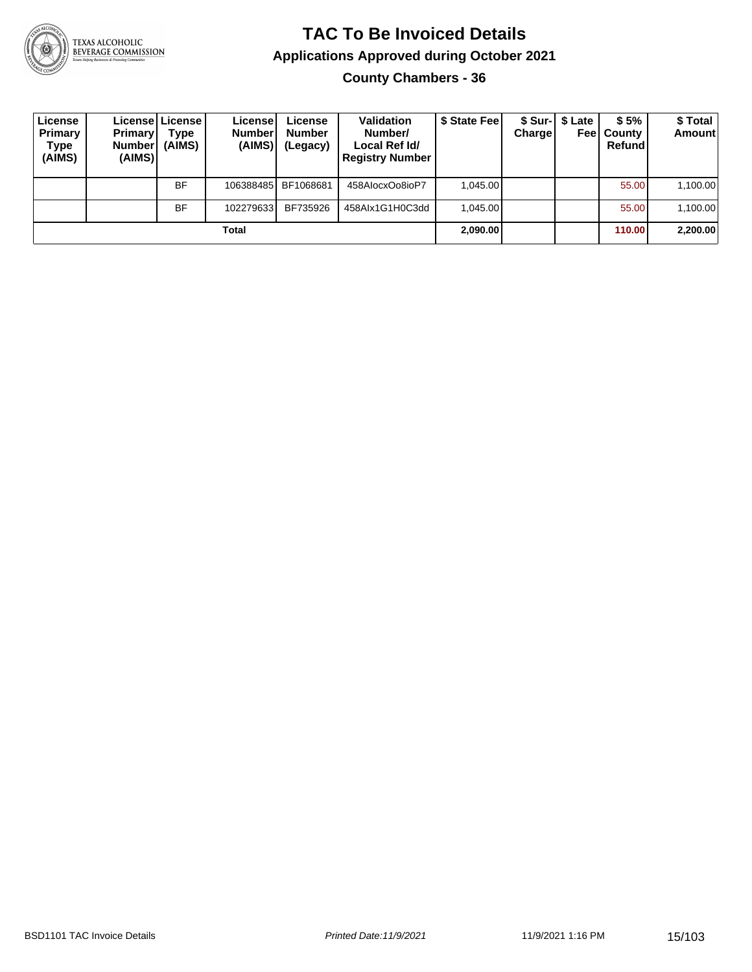

**County Chambers - 36**

| License<br>Primary<br>Type<br>(AIMS) | <b>Primary</b><br><b>Number</b><br>(AIMS) | License   License  <br>Type<br>(AIMS) | License<br><b>Number</b><br>(AIMS) | License<br><b>Number</b><br>(Legacy) | <b>Validation</b><br>Number/<br>Local Ref Id/<br><b>Registry Number</b> | \$ State Fee | Charge | \$ Sur-1 \$ Late<br>Feel | \$5%<br>County<br>Refund | \$ Total<br><b>Amount</b> |
|--------------------------------------|-------------------------------------------|---------------------------------------|------------------------------------|--------------------------------------|-------------------------------------------------------------------------|--------------|--------|--------------------------|--------------------------|---------------------------|
|                                      |                                           | <b>BF</b>                             | 106388485                          | BF1068681                            | 458AlocxOo8ioP7                                                         | 1.045.00     |        |                          | 55.00                    | 1,100.00                  |
|                                      |                                           | <b>BF</b>                             | 102279633                          | BF735926                             | 458Alx1G1H0C3dd                                                         | 1.045.00     |        |                          | 55.00                    | 1,100.00                  |
|                                      |                                           |                                       | Total                              |                                      |                                                                         | 2,090.00     |        |                          | 110.00                   | 2,200.00                  |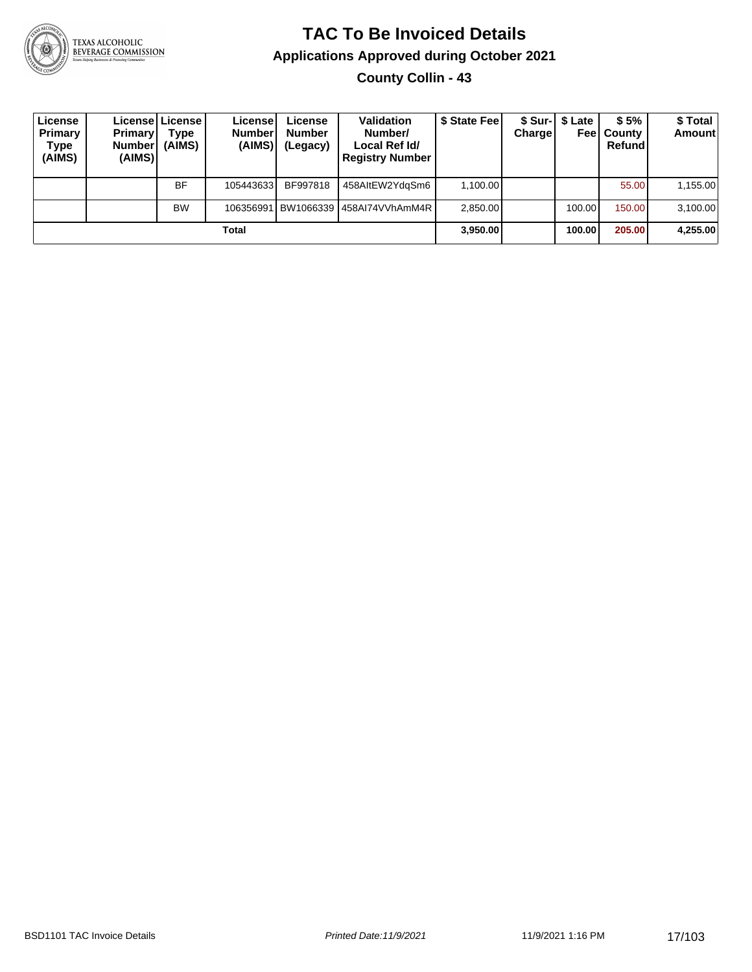

#### **TAC To Be Invoiced Details Applications Approved during October 2021 County Collin - 43**

| License<br>Primary<br>Type<br>(AIMS) | <b>Primary</b><br><b>Number</b><br>(AIMS) | License   License  <br>Type<br>(AIMS) | License<br><b>Number</b><br>(AIMS) | License<br><b>Number</b><br>(Legacy) | <b>Validation</b><br>Number/<br>Local Ref Id/<br><b>Registry Number</b> | \$ State Fee | Charge | \$ Sur-1 \$ Late<br>Feel | \$5%<br>County<br>Refund | \$ Total<br><b>Amount</b> |
|--------------------------------------|-------------------------------------------|---------------------------------------|------------------------------------|--------------------------------------|-------------------------------------------------------------------------|--------------|--------|--------------------------|--------------------------|---------------------------|
|                                      |                                           | <b>BF</b>                             | 105443633                          | BF997818                             | 458AltEW2YdgSm6                                                         | 1,100.00     |        |                          | 55.00                    | 1,155.00                  |
|                                      |                                           | <b>BW</b>                             | 106356991                          |                                      | BW1066339   458AI74VVhAmM4R                                             | 2,850.00     |        | 100.00                   | 150.00                   | 3,100.00                  |
|                                      |                                           |                                       | Total                              |                                      |                                                                         | 3,950.00     |        | 100.00                   | 205.00                   | 4,255.00                  |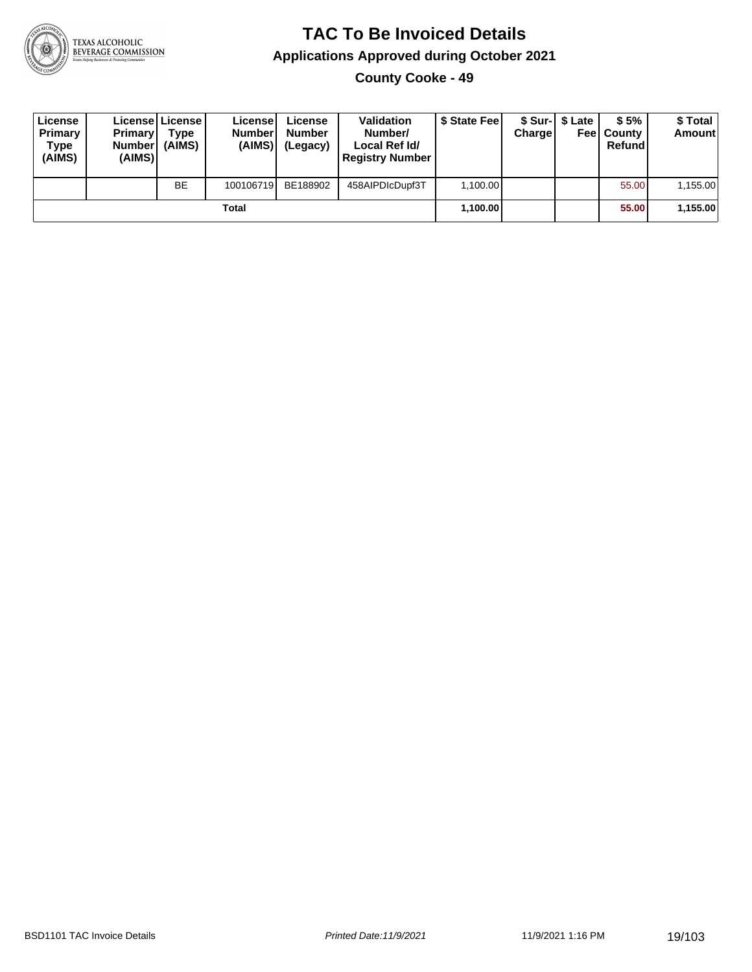

**County Cooke - 49**

| License<br>Primary<br>Type<br>(AIMS) | <b>Primary</b><br>Number<br>(AIMS) | Licensel License<br>Type<br>(AIMS) | License<br><b>Number</b><br>(AIMS) | License<br><b>Number</b><br>(Legacy) | <b>Validation</b><br>Number/<br>Local Ref Id/<br><b>Registry Number</b> | \$ State Feel | Charge | \$ Sur-1 \$ Late | \$5%<br><b>Feel County</b><br>Refund | \$ Total<br><b>Amount</b> |
|--------------------------------------|------------------------------------|------------------------------------|------------------------------------|--------------------------------------|-------------------------------------------------------------------------|---------------|--------|------------------|--------------------------------------|---------------------------|
|                                      |                                    | <b>BE</b>                          | 100106719                          | BE188902                             | 458AIPDIcDupf3T                                                         | 1.100.00      |        |                  | 55.00                                | 1,155.00                  |
|                                      |                                    |                                    | Total                              |                                      |                                                                         | 1,100.00      |        |                  | 55.00                                | 1,155.00                  |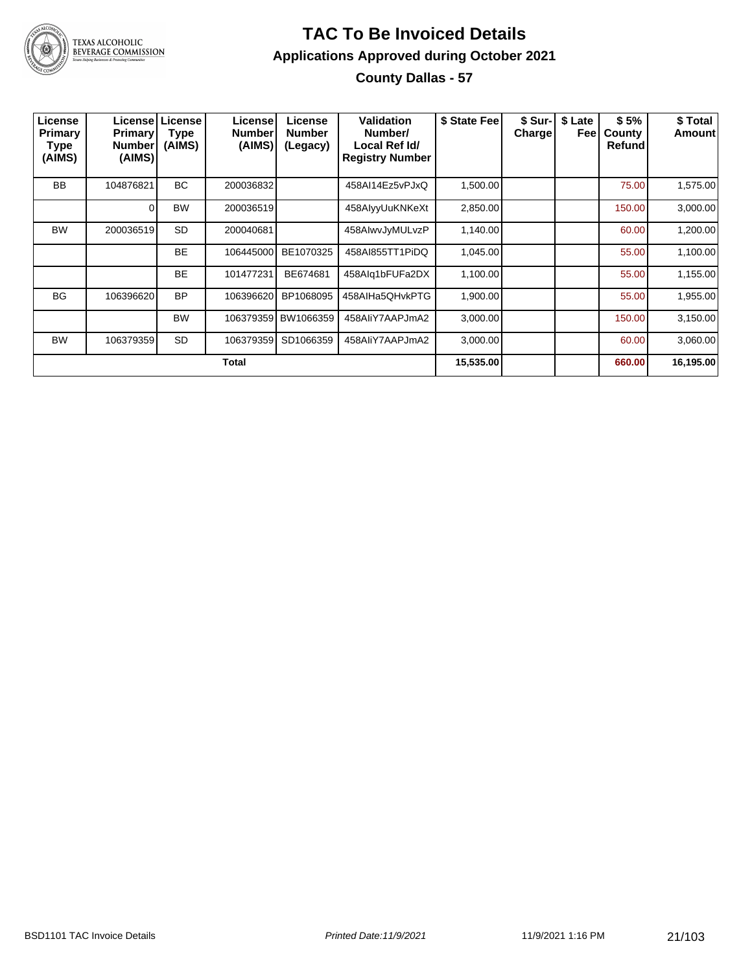

#### **TAC To Be Invoiced Details Applications Approved during October 2021 County Dallas - 57**

| License<br>Primary<br><b>Type</b><br>(AIMS) | <b>Primary</b><br>Number<br>(AIMS) | License License<br><b>Type</b><br>(AIMS) | License<br><b>Number</b><br>(AIMS) | License<br><b>Number</b><br>(Legacy) | Validation<br>Number/<br>Local Ref Id/<br><b>Registry Number</b> | \$ State Fee | \$ Sur-I<br><b>Charge</b> | \$ Late<br>Feel | \$5%<br>County<br><b>Refund</b> | \$ Total<br>Amount |
|---------------------------------------------|------------------------------------|------------------------------------------|------------------------------------|--------------------------------------|------------------------------------------------------------------|--------------|---------------------------|-----------------|---------------------------------|--------------------|
| <b>BB</b>                                   | 104876821                          | BC.                                      | 200036832                          |                                      | 458AI14Ez5vPJxQ                                                  | 1,500.00     |                           |                 | 75.00                           | 1,575.00           |
|                                             | 0                                  | <b>BW</b>                                | 200036519                          |                                      | 458AlyyUuKNKeXt                                                  | 2,850.00     |                           |                 | 150.00                          | 3,000.00           |
| <b>BW</b>                                   | 200036519                          | <b>SD</b>                                | 200040681                          |                                      | 458AIwvJyMULvzP                                                  | 1,140.00     |                           |                 | 60.00                           | 1,200.00           |
|                                             |                                    | <b>BE</b>                                | 106445000                          | BE1070325                            | 458AI855TT1PiDQ                                                  | 1,045.00     |                           |                 | 55.00                           | 1,100.00           |
|                                             |                                    | <b>BE</b>                                | 101477231                          | BE674681                             | 458Alq1bFUFa2DX                                                  | 1,100.00     |                           |                 | 55.00                           | 1,155.00           |
| <b>BG</b>                                   | 106396620                          | <b>BP</b>                                | 106396620                          | BP1068095                            | 458AIHa5QHvkPTG                                                  | 1,900.00     |                           |                 | 55.00                           | 1,955.00           |
|                                             |                                    | <b>BW</b>                                |                                    | 106379359 BW1066359                  | 458AliY7AAPJmA2                                                  | 3,000.00     |                           |                 | 150.00                          | 3,150.00           |
| <b>BW</b>                                   | 106379359                          | <b>SD</b>                                | 106379359                          | SD1066359                            | 458AliY7AAPJmA2                                                  | 3,000.00     |                           |                 | 60.00                           | 3,060.00           |
|                                             |                                    |                                          | Total                              |                                      |                                                                  | 15,535.00    |                           |                 | 660.00                          | 16,195.00          |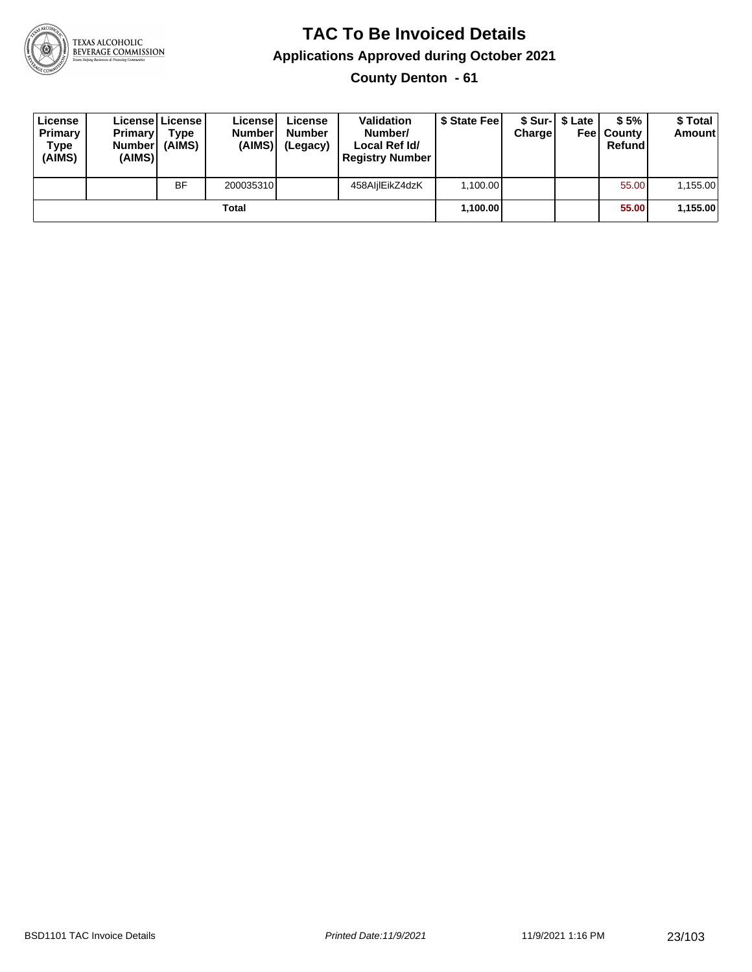

**County Denton - 61**

| License<br>Primary<br>Type<br>(AIMS) | <b>Primary</b><br><b>Number</b><br>(AIMS) | License   License  <br>Type<br>(AIMS) | License<br><b>Number</b><br>(AIMS) | License<br><b>Number</b><br>(Legacy) | <b>Validation</b><br>Number/<br>Local Ref Id/<br><b>Registry Number</b> | \$ State Feel | Charge | \$ Sur-1 \$ Late | \$5%<br><b>Feel County</b><br>Refund | \$ Total<br><b>Amount</b> |
|--------------------------------------|-------------------------------------------|---------------------------------------|------------------------------------|--------------------------------------|-------------------------------------------------------------------------|---------------|--------|------------------|--------------------------------------|---------------------------|
|                                      |                                           | <b>BF</b>                             | 200035310                          |                                      | 458AljlEikZ4dzK                                                         | 1,100.00      |        |                  | 55.00                                | 1,155.00                  |
|                                      |                                           |                                       | Total                              |                                      |                                                                         | 1,100.00      |        |                  | 55.00                                | 1,155.00                  |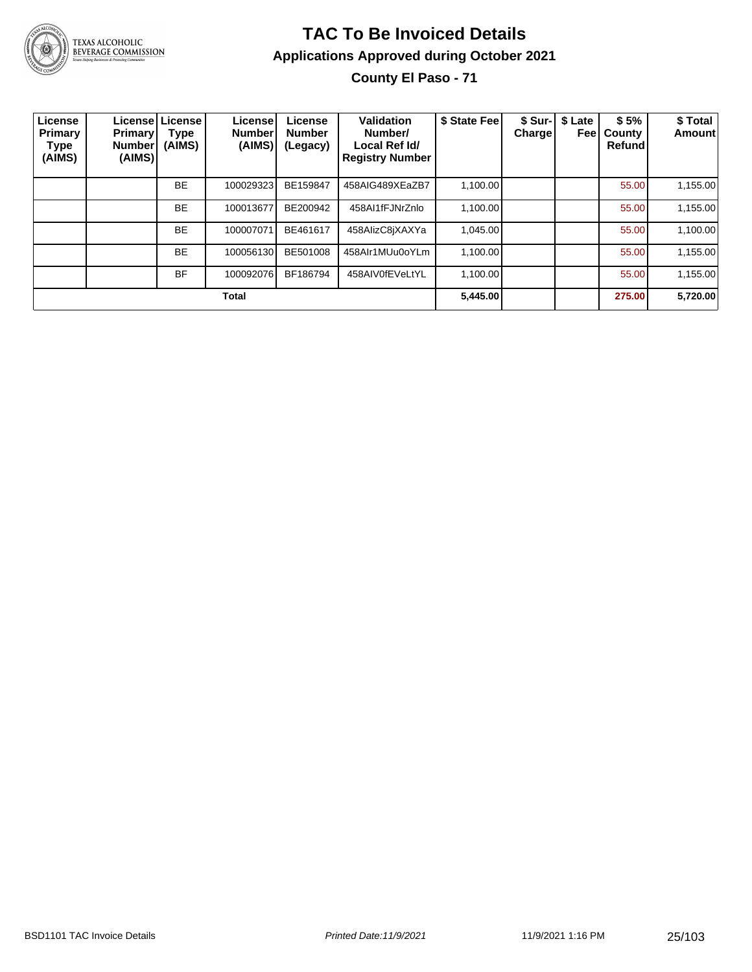

### **TAC To Be Invoiced Details Applications Approved during October 2021**

**County El Paso - 71**

| License<br>Primary<br>Type<br>(AIMS) | <b>Primary</b><br><b>Number</b><br>(AIMS) | Licensel License<br>Type<br>(AIMS) | License<br><b>Number</b><br>(AIMS) | License<br><b>Number</b><br>(Legacy) | Validation<br>Number/<br>Local Ref Id/<br><b>Registry Number</b> | \$ State Fee | <b>Charge</b> | \$ Sur-   \$ Late<br>Feel | \$5%<br>County<br><b>Refund</b> | \$ Total<br><b>Amount</b> |
|--------------------------------------|-------------------------------------------|------------------------------------|------------------------------------|--------------------------------------|------------------------------------------------------------------|--------------|---------------|---------------------------|---------------------------------|---------------------------|
|                                      |                                           | <b>BE</b>                          | 100029323                          | BE159847                             | 458AIG489XEaZB7                                                  | 1,100.00     |               |                           | 55.00                           | 1,155.00                  |
|                                      |                                           | <b>BE</b>                          | 100013677                          | BE200942                             | 458AI1fFJNrZnlo                                                  | 1,100.00     |               |                           | 55.00                           | 1,155.00                  |
|                                      |                                           | <b>BE</b>                          | 100007071                          | BE461617                             | 458AlizC8jXAXYa                                                  | 1.045.00     |               |                           | 55.00                           | 1,100.00                  |
|                                      |                                           | <b>BE</b>                          | 100056130                          | BE501008                             | 458AIr1MUu0oYLm                                                  | 1,100.00     |               |                           | 55.00                           | 1,155.00                  |
|                                      |                                           | <b>BF</b>                          | 100092076                          | BF186794                             | 458AIV0fEVeLtYL                                                  | 1.100.00     |               |                           | 55.00                           | 1,155.00                  |
| <b>Total</b>                         |                                           |                                    |                                    |                                      |                                                                  |              |               |                           | 275.00                          | 5,720.00                  |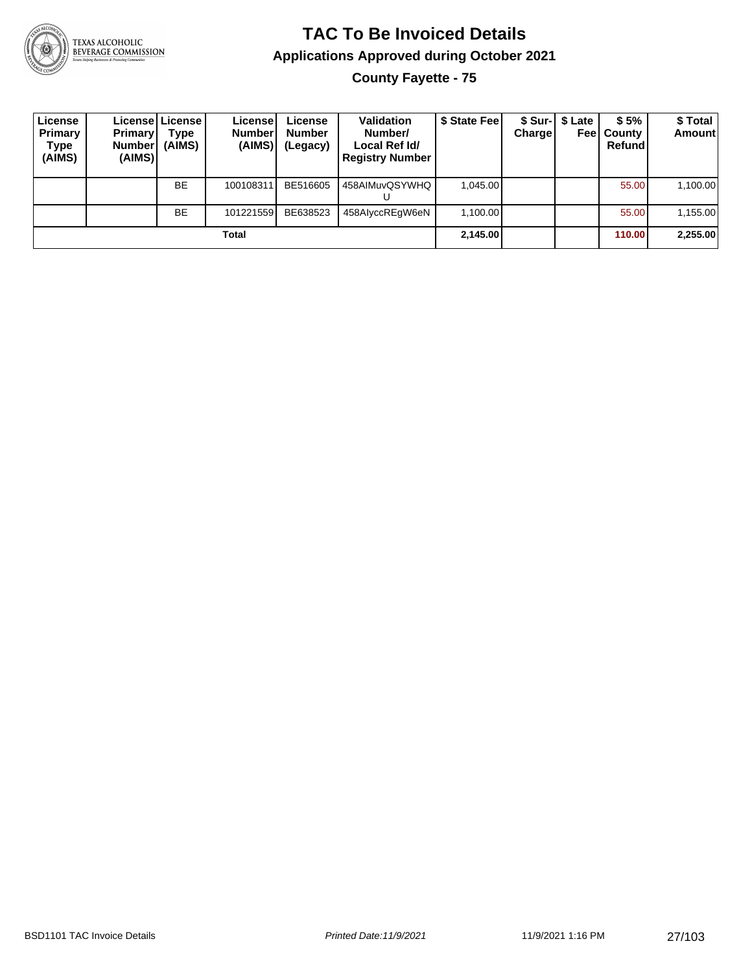

#### **TAC To Be Invoiced Details Applications Approved during October 2021 County Fayette - 75**

| License<br>Primary<br>Type<br>(AIMS) | <b>Primary</b><br>Number <sup>1</sup><br>(AIMS) | License   License  <br>Type<br>(AIMS) | License!<br><b>Number</b><br>(AIMS) | License<br><b>Number</b><br>(Legacy) | <b>Validation</b><br>Number/<br>Local Ref Id/<br><b>Registry Number</b> | \$ State Fee | <b>Charge</b> | \$ Sur-   \$ Late<br>Feel | \$5%<br>⊦County<br>Refund | \$ Total<br><b>Amount</b> |
|--------------------------------------|-------------------------------------------------|---------------------------------------|-------------------------------------|--------------------------------------|-------------------------------------------------------------------------|--------------|---------------|---------------------------|---------------------------|---------------------------|
|                                      |                                                 | <b>BE</b>                             | 100108311                           | BE516605                             | 458AIMuvQSYWHQ<br>υ                                                     | 1.045.00     |               |                           | 55.00                     | 1,100.00                  |
|                                      |                                                 | <b>BE</b>                             | 101221559                           | BE638523                             | 458AIyccREqW6eN                                                         | 1,100.00     |               |                           | 55.00                     | 1,155.00                  |
| Total                                |                                                 |                                       |                                     |                                      |                                                                         |              | 2,145.00      |                           | 110.00                    | 2,255.00                  |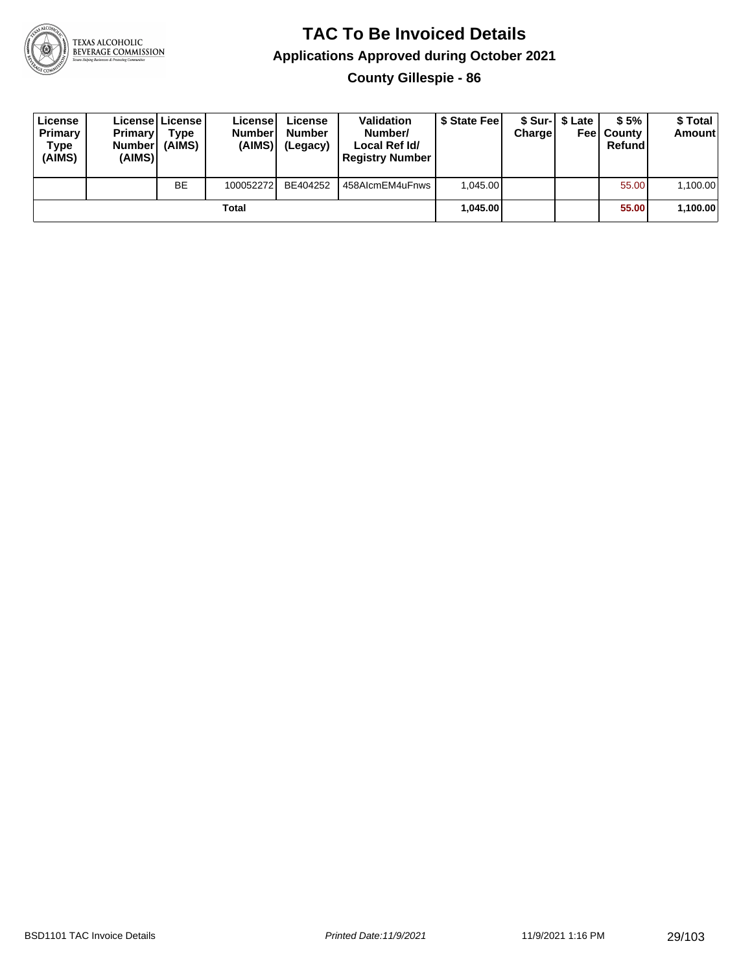

**County Gillespie - 86**

| License<br>Primary<br>Type<br>(AIMS) | <b>Primary</b><br><b>Number</b><br>(AIMS)I | Licensel License<br>Type<br>(AIMS) | License<br><b>Number</b><br>(AIMS) | License<br><b>Number</b><br>(Legacy) | <b>Validation</b><br>Number/<br>Local Ref Id/<br><b>Registry Number</b> | \$ State Feel | Charge | \$ Sur-1 \$ Late | \$5%<br><b>Feel County</b><br>Refund | \$ Total<br><b>Amount</b> |
|--------------------------------------|--------------------------------------------|------------------------------------|------------------------------------|--------------------------------------|-------------------------------------------------------------------------|---------------|--------|------------------|--------------------------------------|---------------------------|
|                                      |                                            | <b>BE</b>                          | 100052272                          | BE404252                             | 458AlcmEM4uFnws                                                         | 1.045.00      |        |                  | 55.00                                | 1,100.00                  |
| Total                                |                                            |                                    |                                    |                                      |                                                                         | 1.045.00      |        |                  | 55.00                                | 1,100.00                  |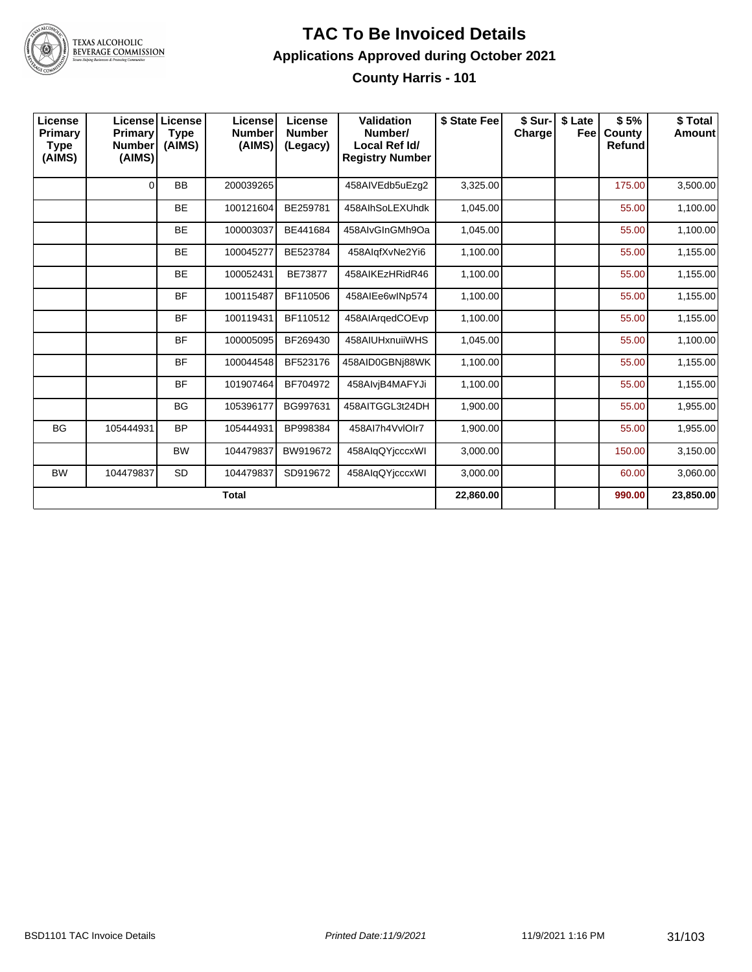

**County Harris - 101**

| License<br>Primary<br><b>Type</b><br>(AIMS) | Primary<br><b>Number</b><br>(AIMS) | License   License<br><b>Type</b><br>(AIMS) | License<br><b>Number</b><br>(AIMS) | License<br><b>Number</b><br>(Legacy) | Validation<br>Number/<br>Local Ref Id/<br><b>Registry Number</b> | \$ State Fee | \$ Sur-l<br>Charge | \$ Late<br>Feel | \$5%<br>County<br><b>Refund</b> | \$Total<br><b>Amount</b> |
|---------------------------------------------|------------------------------------|--------------------------------------------|------------------------------------|--------------------------------------|------------------------------------------------------------------|--------------|--------------------|-----------------|---------------------------------|--------------------------|
|                                             | $\Omega$                           | <b>BB</b>                                  | 200039265                          |                                      | 458AIVEdb5uEzq2                                                  | 3,325.00     |                    |                 | 175.00                          | 3,500.00                 |
|                                             |                                    | <b>BE</b>                                  | 100121604                          | BE259781                             | 458AlhSoLEXUhdk                                                  | 1,045.00     |                    |                 | 55.00                           | 1,100.00                 |
|                                             |                                    | <b>BE</b>                                  | 100003037                          | BE441684                             | 458AlvGInGMh9Oa                                                  | 1,045.00     |                    |                 | 55.00                           | 1,100.00                 |
|                                             |                                    | <b>BE</b>                                  | 100045277                          | BE523784                             | 458AlqfXvNe2Yi6                                                  | 1,100.00     |                    |                 | 55.00                           | 1,155.00                 |
|                                             |                                    | <b>BE</b>                                  | 100052431                          | BE73877                              | 458AIKEzHRidR46                                                  | 1,100.00     |                    |                 | 55.00                           | 1,155.00                 |
|                                             |                                    | <b>BF</b>                                  | 100115487                          | BF110506                             | 458AIEe6wINp574                                                  | 1,100.00     |                    |                 | 55.00                           | 1,155.00                 |
|                                             |                                    | <b>BF</b>                                  | 100119431                          | BF110512                             | 458AIArgedCOEvp                                                  | 1,100.00     |                    |                 | 55.00                           | 1,155.00                 |
|                                             |                                    | <b>BF</b>                                  | 100005095                          | BF269430                             | 458AIUHxnuiiWHS                                                  | 1,045.00     |                    |                 | 55.00                           | 1,100.00                 |
|                                             |                                    | <b>BF</b>                                  | 100044548                          | BF523176                             | 458AID0GBNi88WK                                                  | 1,100.00     |                    |                 | 55.00                           | 1,155.00                 |
|                                             |                                    | <b>BF</b>                                  | 101907464                          | BF704972                             | 458AlvjB4MAFYJi                                                  | 1,100.00     |                    |                 | 55.00                           | 1,155.00                 |
|                                             |                                    | <b>BG</b>                                  | 105396177                          | BG997631                             | 458AITGGL3t24DH                                                  | 1,900.00     |                    |                 | 55.00                           | 1,955.00                 |
| <b>BG</b>                                   | 105444931                          | <b>BP</b>                                  | 105444931                          | BP998384                             | 458AI7h4VvIOIr7                                                  | 1,900.00     |                    |                 | 55.00                           | 1,955.00                 |
|                                             |                                    | <b>BW</b>                                  | 104479837                          | BW919672                             | 458AlqQYjcccxWI                                                  | 3,000.00     |                    |                 | 150.00                          | 3,150.00                 |
| <b>BW</b>                                   | 104479837                          | <b>SD</b>                                  | 104479837                          | SD919672                             | 458AlqQYjcccxWI                                                  | 3,000.00     |                    |                 | 60.00                           | 3,060.00                 |
| <b>Total</b>                                |                                    |                                            |                                    |                                      |                                                                  |              |                    |                 | 990.00                          | 23,850.00                |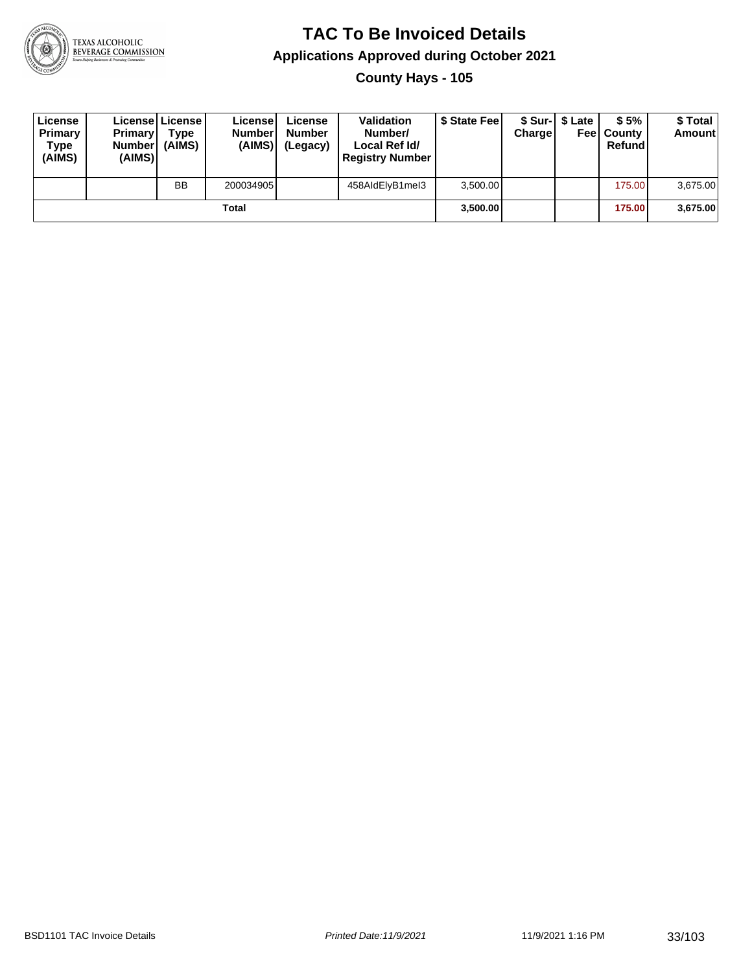

#### **TAC To Be Invoiced Details Applications Approved during October 2021 County Hays - 105**

| License<br>Primary<br>Type<br>(AIMS) | <b>Primary</b><br><b>Number</b><br>(AIMS) | Licensel License!<br>Type<br>(AIMS) | License<br><b>Number</b><br>(AIMS) | License<br><b>Number</b><br>(Legacy) | <b>Validation</b><br>Number/<br>Local Ref Id/<br><b>Registry Number</b> | \$ State Feel | Chargel | \$ Sur-1 \$ Late | \$5%<br><b>Feel County</b><br>Refund | \$ Total<br><b>Amount</b> |
|--------------------------------------|-------------------------------------------|-------------------------------------|------------------------------------|--------------------------------------|-------------------------------------------------------------------------|---------------|---------|------------------|--------------------------------------|---------------------------|
|                                      |                                           | <b>BB</b>                           | 200034905                          |                                      | 458AIdElvB1meI3                                                         | 3.500.00      |         |                  | 175.00                               | 3,675.00                  |
| Total                                |                                           |                                     |                                    |                                      |                                                                         | 3,500.00      |         |                  | 175.00                               | 3,675.00                  |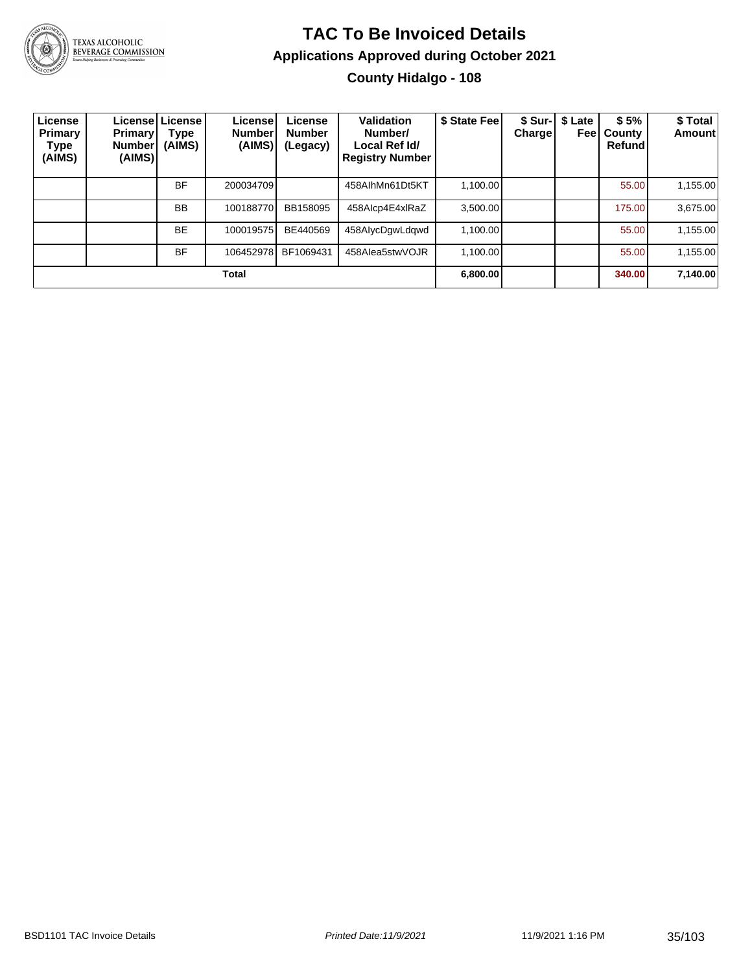

#### **TAC To Be Invoiced Details Applications Approved during October 2021 County Hidalgo - 108**

| License<br><b>Primary</b><br>Type<br>(AIMS) | <b>Primary</b><br><b>Number</b><br>(AIMS) | License License<br>Type<br>(AIMS) | <b>License</b><br><b>Number</b><br>(AIMS) | License<br><b>Number</b><br>(Legacy) | Validation<br>Number/<br>Local Ref Id/<br><b>Registry Number</b> | \$ State Fee | \$ Sur-<br>Charge | \$ Late<br>Feel | \$5%<br>County<br>Refund | \$ Total<br>Amount |
|---------------------------------------------|-------------------------------------------|-----------------------------------|-------------------------------------------|--------------------------------------|------------------------------------------------------------------|--------------|-------------------|-----------------|--------------------------|--------------------|
|                                             |                                           | BF                                | 200034709                                 |                                      | 458AlhMn61Dt5KT                                                  | 1.100.00     |                   |                 | 55.00                    | 1,155.00           |
|                                             |                                           | <b>BB</b>                         | 100188770                                 | BB158095                             | 458Alcp4E4xlRaZ                                                  | 3,500.00     |                   |                 | 175.00                   | 3,675.00           |
|                                             |                                           | <b>BE</b>                         | 100019575                                 | BE440569                             | 458AIycDgwLdgwd                                                  | 1.100.00     |                   |                 | 55.00                    | 1,155.00           |
|                                             |                                           | <b>BF</b>                         | 106452978                                 | BF1069431                            | 458Alea5stwVOJR                                                  | 1.100.00     |                   |                 | 55.00                    | 1,155.00           |
| <b>Total</b>                                |                                           |                                   |                                           |                                      |                                                                  |              |                   |                 | 340.00                   | 7,140.00           |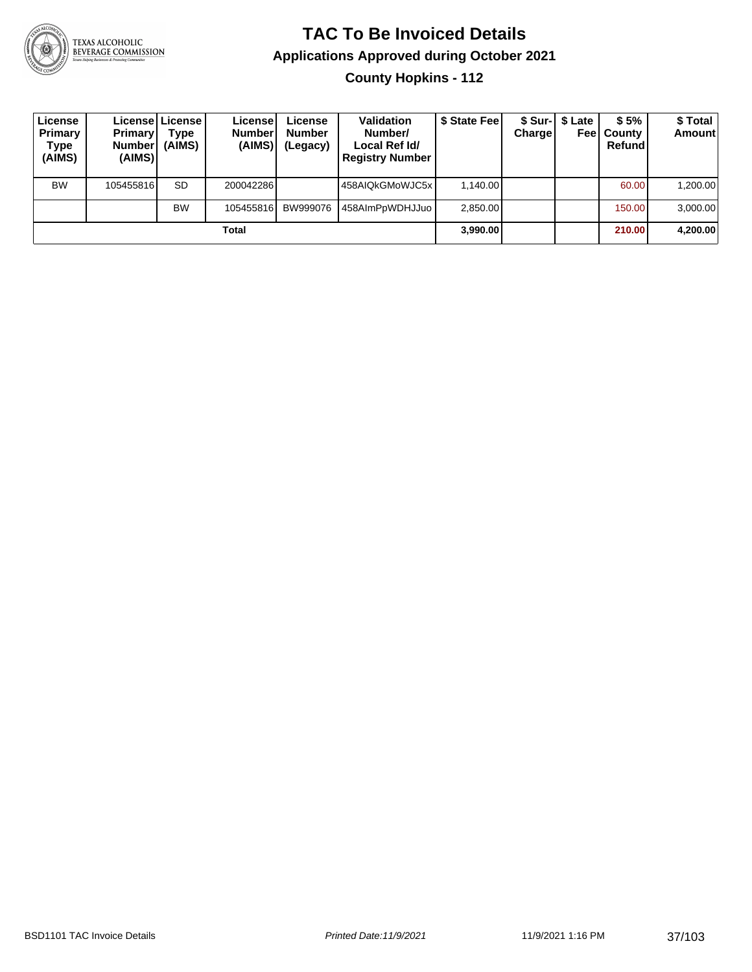

**County Hopkins - 112**

| License<br><b>Primary</b><br>Type<br>(AIMS) | <b>Primary</b><br><b>Number</b><br>(AIMS) | Licensel License I<br>Type<br>(AIMS) | License<br><b>Number</b><br>(AIMS) | License<br><b>Number</b><br>(Legacy) | <b>Validation</b><br>Number/<br>Local Ref Id/<br><b>Registry Number</b> | \$ State Feel | Charge | \$ Sur-   \$ Late<br>Feel | \$5%<br>County<br>Refund | \$ Total<br><b>Amount</b> |
|---------------------------------------------|-------------------------------------------|--------------------------------------|------------------------------------|--------------------------------------|-------------------------------------------------------------------------|---------------|--------|---------------------------|--------------------------|---------------------------|
| <b>BW</b>                                   | 105455816                                 | <b>SD</b>                            | 200042286                          |                                      | 458AIQkGMoWJC5x                                                         | 1.140.00      |        |                           | 60.00                    | 1,200.00                  |
|                                             |                                           | <b>BW</b>                            | 105455816                          | BW999076                             | 458AImPpWDHJJuo                                                         | 2,850.00      |        |                           | 150.00                   | 3,000.00                  |
|                                             |                                           |                                      | Total                              |                                      |                                                                         | 3,990.00      |        |                           | 210.00                   | 4,200.00                  |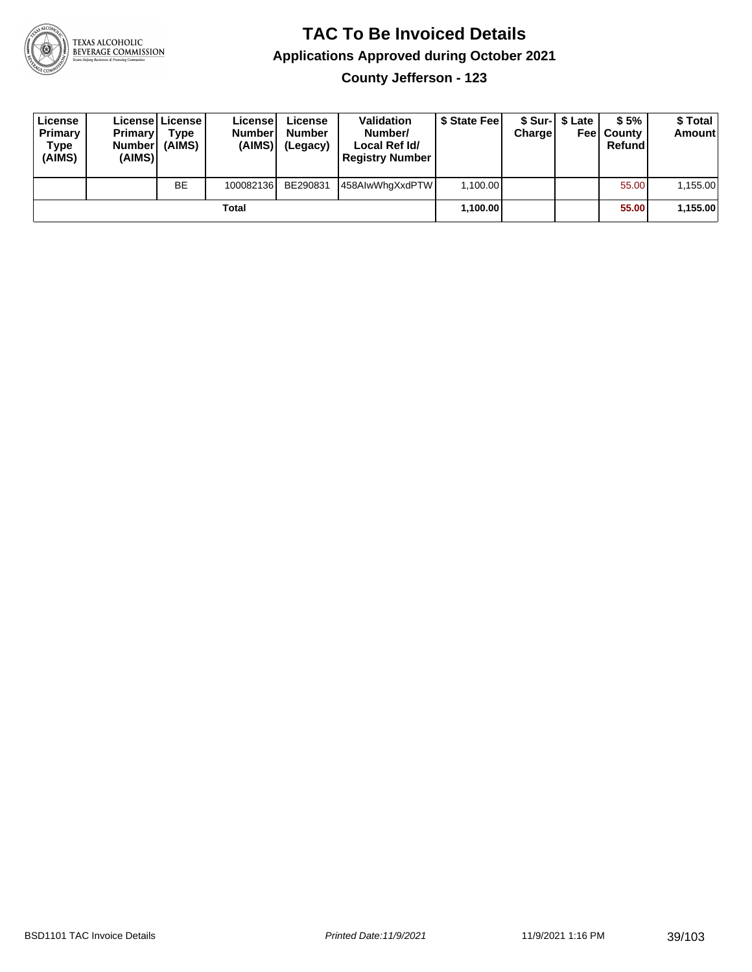

**County Jefferson - 123**

| License<br><b>Primary</b><br>Type<br>(AIMS) | <b>Primary</b><br>Number<br>(AIMS) | <b>License   License</b><br>Type<br>(AIMS) | License<br><b>Number</b><br>(AIMS) | License<br><b>Number</b><br>(Legacy) | <b>Validation</b><br>Number/<br>Local Ref Id/<br><b>Registry Number</b> | \$ State Feel | Charge | \$ Sur-1 \$ Late | \$5%<br><b>Feel County</b><br>Refund | \$ Total<br><b>Amount</b> |
|---------------------------------------------|------------------------------------|--------------------------------------------|------------------------------------|--------------------------------------|-------------------------------------------------------------------------|---------------|--------|------------------|--------------------------------------|---------------------------|
|                                             |                                    | <b>BE</b>                                  | 100082136                          | BE290831                             | 458AlwWhqXxdPTW                                                         | 1,100.00      |        |                  | 55.00                                | 1,155.00                  |
|                                             |                                    |                                            | Total                              |                                      |                                                                         | 1,100.00      |        |                  | 55.00                                | 1,155.00                  |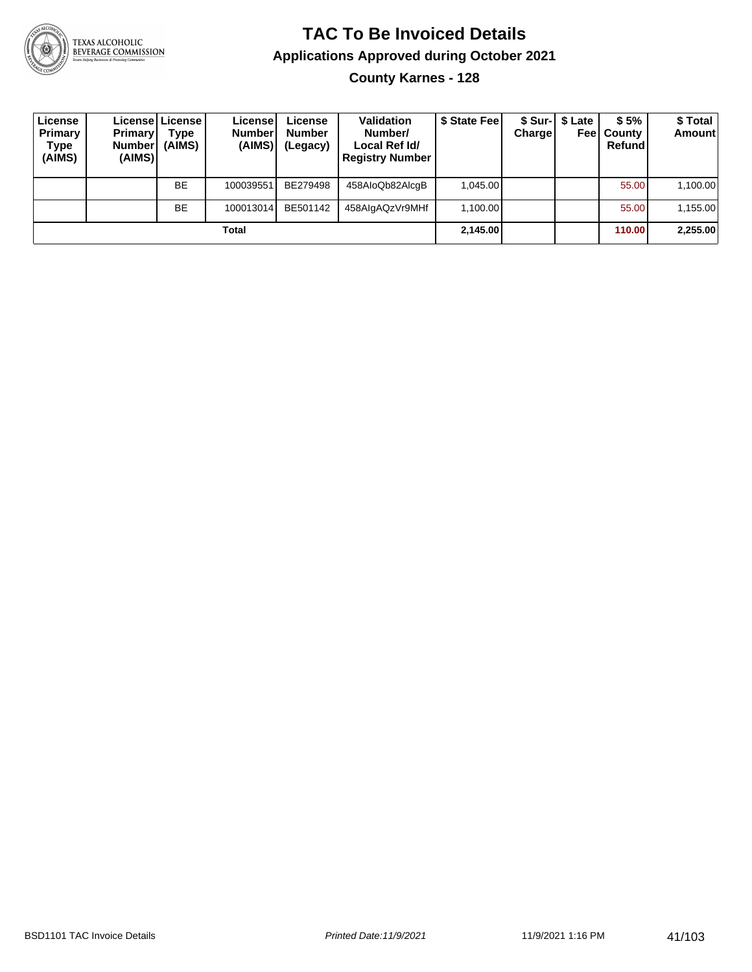

**County Karnes - 128**

| License<br>Primary<br>Type<br>(AIMS) | <b>Primary</b><br><b>Number</b><br>(AIMS) | Licensel License I<br>Type<br>(AIMS) | License<br><b>Number</b><br>(AIMS) | License<br><b>Number</b><br>(Legacy) | <b>Validation</b><br>Number/<br>Local Ref Id/<br><b>Registry Number</b> | \$ State Feel | Charge | \$ Sur-1 \$ Late | \$5%<br><b>Feel County</b><br>Refund | \$Total<br><b>Amount</b> |
|--------------------------------------|-------------------------------------------|--------------------------------------|------------------------------------|--------------------------------------|-------------------------------------------------------------------------|---------------|--------|------------------|--------------------------------------|--------------------------|
|                                      |                                           | <b>BE</b>                            | 100039551                          | BE279498                             | 458AloQb82AlcqB                                                         | 1.045.00      |        |                  | 55.00                                | 1,100.00                 |
|                                      |                                           | <b>BE</b>                            | 100013014                          | BE501142                             | 458AlgAQzVr9MHf                                                         | 1.100.00      |        |                  | 55.00                                | 1,155.00                 |
|                                      |                                           |                                      | Total                              |                                      |                                                                         | 2,145.00      |        |                  | 110.00                               | 2,255.00                 |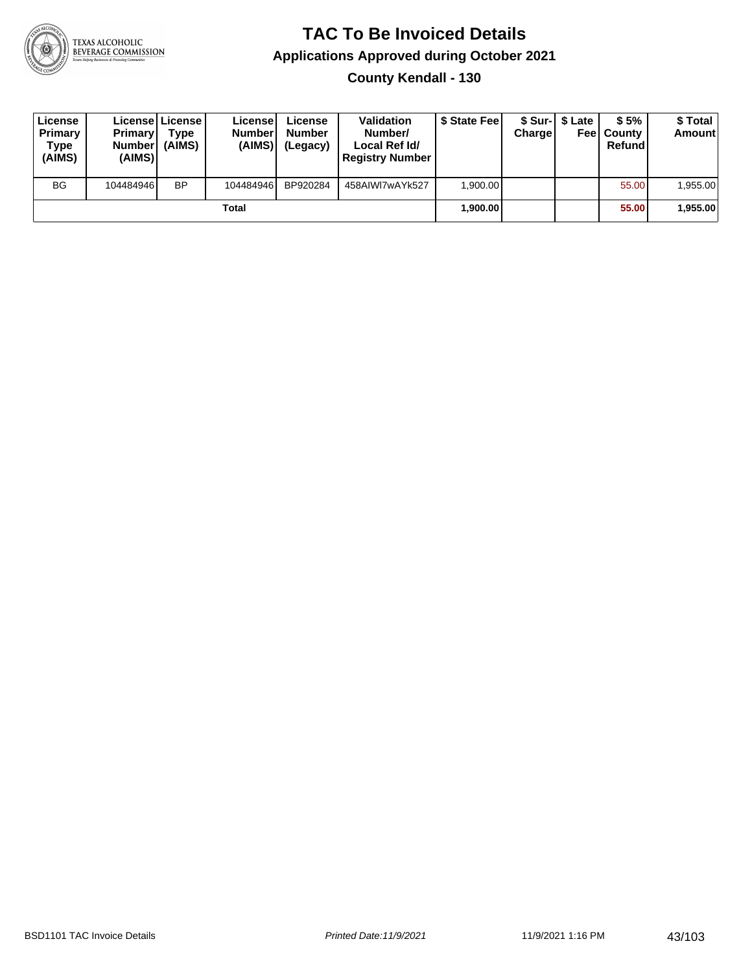

#### **TAC To Be Invoiced Details Applications Approved during October 2021 County Kendall - 130**

| License<br>Primary<br>Type<br>(AIMS) | <b>Primary</b><br><b>Number</b><br>(AIMS) | License License<br>Type<br>(AIMS) | License<br><b>Number</b><br>(AIMS) | License<br><b>Number</b><br>(Legacy) | <b>Validation</b><br>Number/<br>Local Ref Id/<br><b>Registry Number</b> | \$ State Feel | <b>Charge</b> | \$ Sur-1 \$ Late<br>Feel | \$5%<br>l Countv<br>Refund | \$ Total<br><b>Amount</b> |
|--------------------------------------|-------------------------------------------|-----------------------------------|------------------------------------|--------------------------------------|-------------------------------------------------------------------------|---------------|---------------|--------------------------|----------------------------|---------------------------|
| <b>BG</b>                            | 104484946                                 | <b>BP</b>                         | 104484946                          | BP920284                             | 458AIWI7wAYk527                                                         | 1.900.00      |               |                          | 55.00                      | 1,955.00                  |
|                                      |                                           |                                   | Total                              |                                      |                                                                         | 1,900.00      |               |                          | 55,00                      | 1,955.00                  |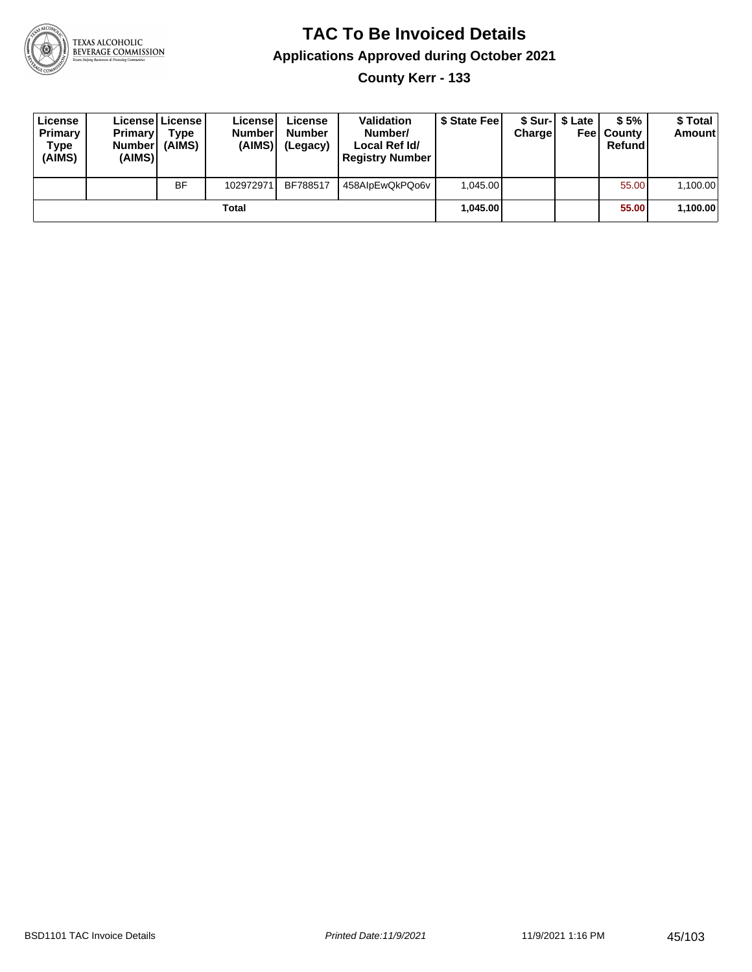

**County Kerr - 133**

| License<br>Primary<br>Type<br>(AIMS) | <b>Primary</b><br><b>Number</b><br>(AIMS)I | <b>License   License</b><br>Type<br>(AIMS) | License<br><b>Number</b><br>(AIMS) | License<br><b>Number</b><br>(Legacy) | <b>Validation</b><br>Number/<br>Local Ref Id/<br><b>Registry Number</b> | \$ State Feel | Charge | \$ Sur-1 \$ Late | \$5%<br><b>Feel County</b><br>Refund | \$ Total<br><b>Amount</b> |
|--------------------------------------|--------------------------------------------|--------------------------------------------|------------------------------------|--------------------------------------|-------------------------------------------------------------------------|---------------|--------|------------------|--------------------------------------|---------------------------|
|                                      |                                            | <b>BF</b>                                  | 102972971                          | BF788517                             | 458AlpEwQkPQo6v                                                         | 1.045.00      |        |                  | 55.00                                | 1,100.00                  |
|                                      |                                            |                                            | Total                              |                                      |                                                                         | 1.045.00      |        |                  | 55.00                                | 1,100.00                  |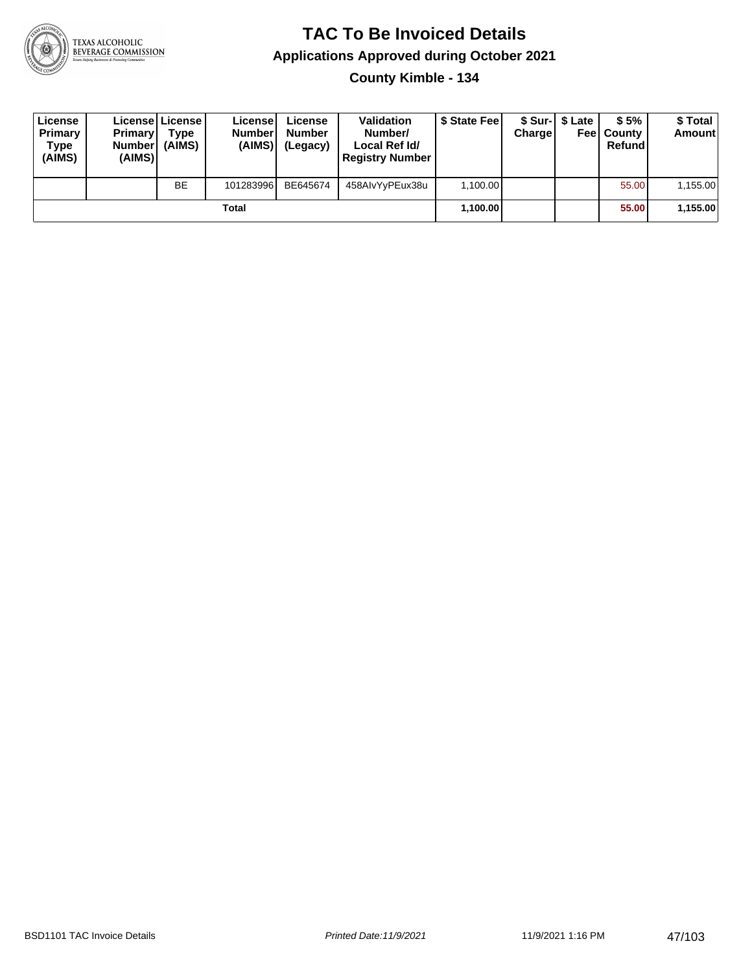

#### **TAC To Be Invoiced Details Applications Approved during October 2021 County Kimble - 134**

| License<br>Primary<br>Type<br>(AIMS) | <b>Primary</b><br>Number<br>(AIMS) | Licensel License I<br>Type<br>(AIMS) | License<br><b>Number</b><br>(AIMS) | License<br><b>Number</b><br>(Legacy) | <b>Validation</b><br>Number/<br>Local Ref Id/<br><b>Registry Number</b> | \$ State Fee | Charge | \$ Sur-I \$ Late | \$5%<br><b>Feel County</b><br>Refund | \$ Total<br><b>Amount</b> |
|--------------------------------------|------------------------------------|--------------------------------------|------------------------------------|--------------------------------------|-------------------------------------------------------------------------|--------------|--------|------------------|--------------------------------------|---------------------------|
|                                      |                                    | <b>BE</b>                            | 101283996                          | BE645674                             | 458AlvYyPEux38u                                                         | 1,100.00     |        |                  | 55.00                                | 1.155.00                  |
|                                      |                                    |                                      | Total                              |                                      |                                                                         | 1,100.00     |        |                  | 55.00                                | 1,155.00                  |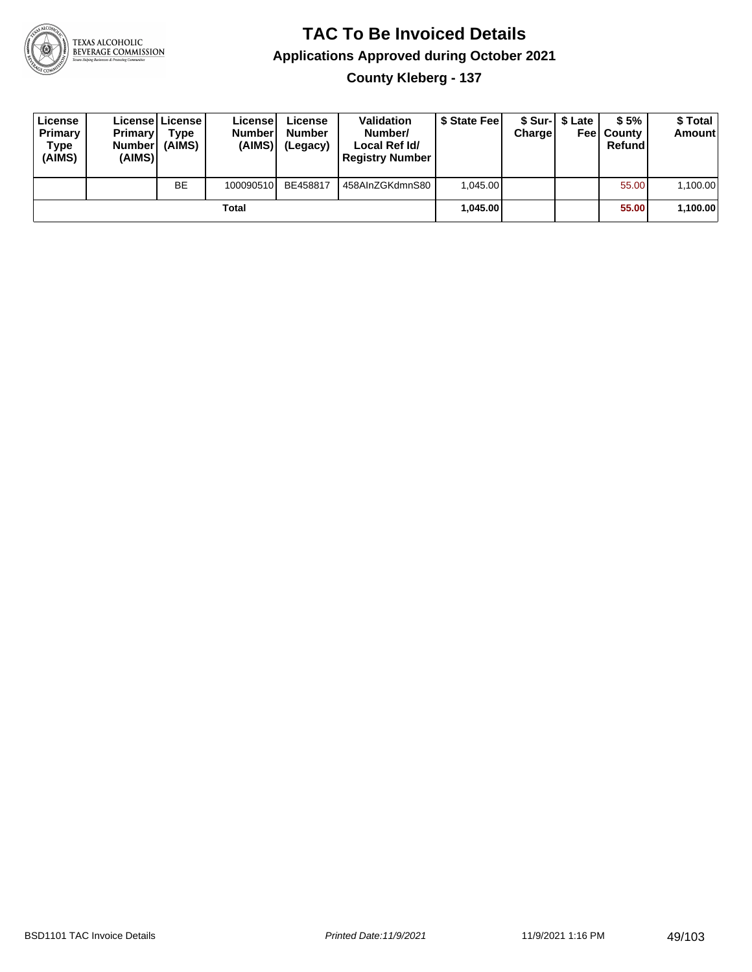

**County Kleberg - 137**

| License<br>Primary<br>Type<br>(AIMS) | <b>Primary</b><br>Number<br>(AIMS) | Licensel License I<br>Type<br>(AIMS) | License<br><b>Number</b><br>(AIMS) | License<br><b>Number</b><br>(Legacy) | <b>Validation</b><br>Number/<br>Local Ref Id/<br><b>Registry Number</b> | \$ State Fee | Charge | \$ Sur-1 \$ Late | \$5%<br><b>Feel County</b><br>Refund | \$ Total<br><b>Amount</b> |
|--------------------------------------|------------------------------------|--------------------------------------|------------------------------------|--------------------------------------|-------------------------------------------------------------------------|--------------|--------|------------------|--------------------------------------|---------------------------|
|                                      |                                    | <b>BE</b>                            | 100090510                          | BE458817                             | 458AInZGKdmnS80                                                         | 1.045.00     |        |                  | 55.00                                | 1,100.00                  |
|                                      |                                    |                                      | Total                              |                                      |                                                                         | 1.045.00     |        |                  | 55.00                                | 1,100.00                  |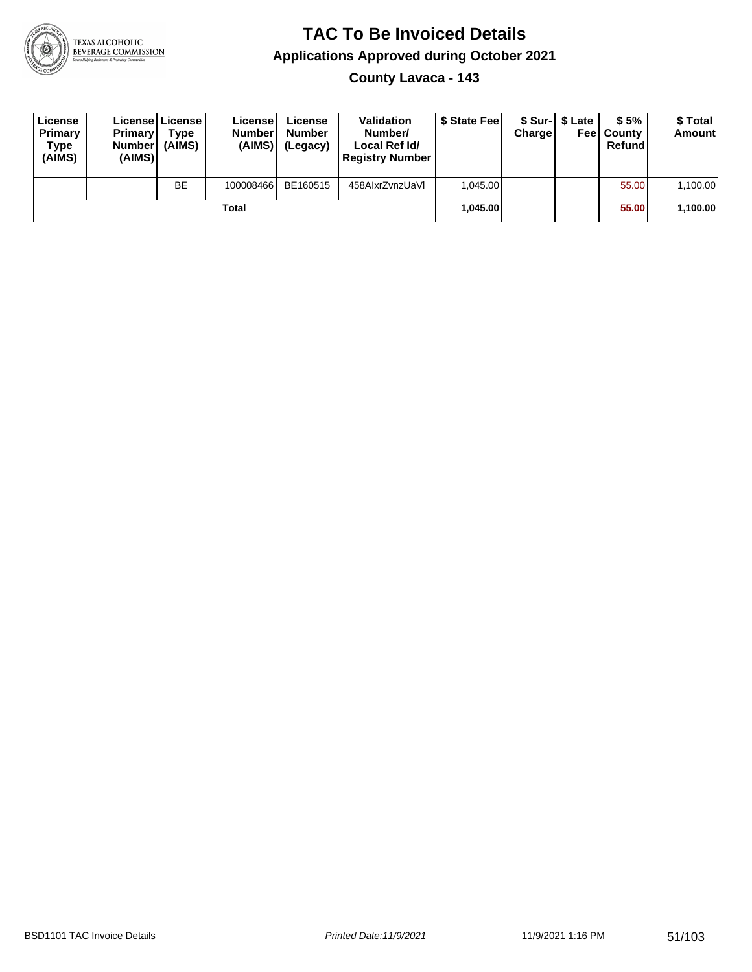

**County Lavaca - 143**

| License<br>Primary<br>Type<br>(AIMS) | <b>Primary</b><br><b>Number</b><br>(AIMS) | <b>License   License</b><br>Type<br>(AIMS) | License<br><b>Number</b><br>(AIMS) | License<br><b>Number</b><br>(Legacy) | <b>Validation</b><br>Number/<br>Local Ref Id/<br><b>Registry Number</b> | \$ State Feel | Charge | \$ Sur-1 \$ Late | \$5%<br><b>Feel County</b><br>Refund | \$ Total<br><b>Amount</b> |
|--------------------------------------|-------------------------------------------|--------------------------------------------|------------------------------------|--------------------------------------|-------------------------------------------------------------------------|---------------|--------|------------------|--------------------------------------|---------------------------|
|                                      |                                           | <b>BE</b>                                  | 100008466                          | BE160515                             | 458AIxrZvnzUaVI                                                         | 1.045.00      |        |                  | 55.00                                | 1,100.00                  |
|                                      |                                           |                                            | Total                              |                                      |                                                                         | 1.045.00      |        |                  | 55.00                                | 1,100.00                  |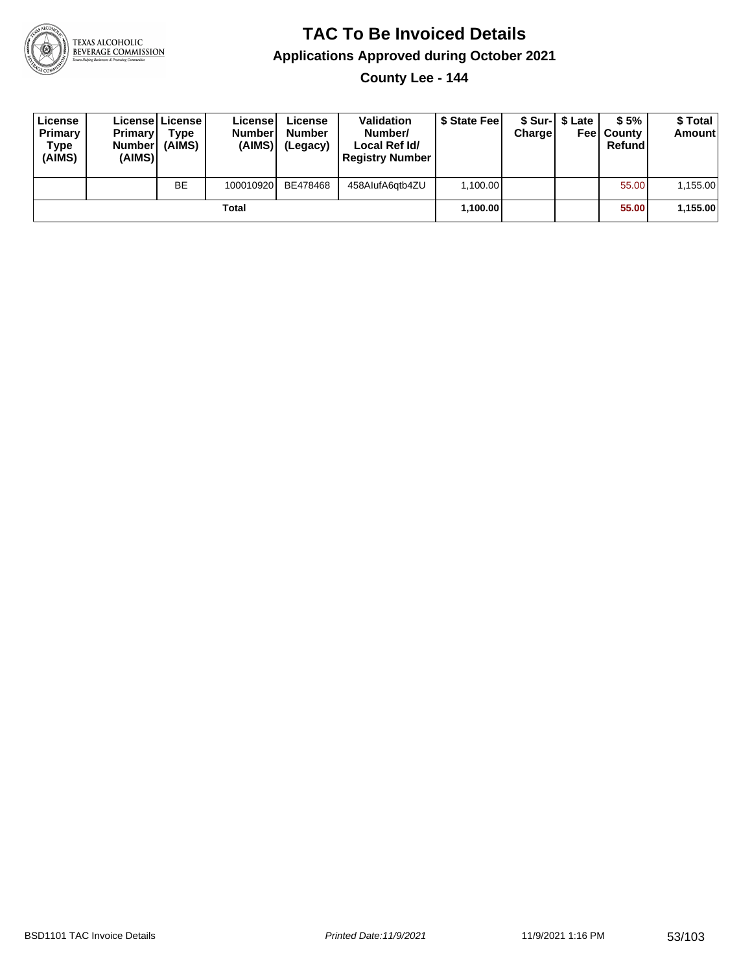

**County Lee - 144**

| License<br>Primary<br>Type<br>(AIMS) | <b>Primary</b><br>Number<br>(AIMS) | License   License  <br>Type<br>(AIMS) | Licensel<br><b>Number</b><br>(AIMS) | License<br><b>Number</b><br>(Legacy) | <b>Validation</b><br>Number/<br>Local Ref Id/<br><b>Registry Number</b> | \$ State Feel | Charge | \$ Sur-1 \$ Late | \$5%<br><b>Feel County</b><br>Refund | \$ Total<br><b>Amount</b> |
|--------------------------------------|------------------------------------|---------------------------------------|-------------------------------------|--------------------------------------|-------------------------------------------------------------------------|---------------|--------|------------------|--------------------------------------|---------------------------|
|                                      |                                    | <b>BE</b>                             | 100010920                           | BE478468                             | 458AlufA6qtb4ZU                                                         | 1,100.00      |        |                  | 55.00                                | 1,155.00                  |
|                                      |                                    |                                       | Total                               |                                      |                                                                         | 1,100.00      |        |                  | 55.00                                | 1,155.00                  |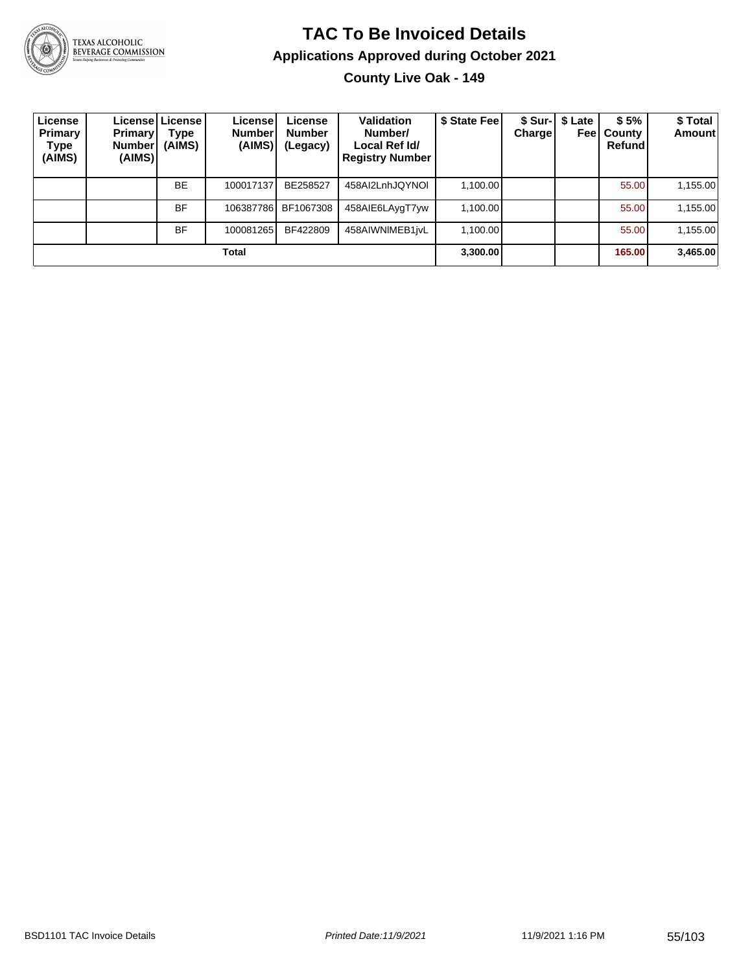

**County Live Oak - 149**

| License<br>Primary<br>Type<br>(AIMS) | <b>Primary</b><br><b>Number</b><br>(AIMS) | Licensel License I<br>Type<br>(AIMS) | License<br>Number<br>(AIMS) | License<br><b>Number</b><br>(Legacy) | <b>Validation</b><br>Number/<br>Local Ref Id/<br><b>Registry Number</b> | \$ State Fee | <b>Charge</b> | \$ Sur-   \$ Late<br>Feel | \$5%<br>County<br>Refund | \$Total<br>Amount |
|--------------------------------------|-------------------------------------------|--------------------------------------|-----------------------------|--------------------------------------|-------------------------------------------------------------------------|--------------|---------------|---------------------------|--------------------------|-------------------|
|                                      |                                           | <b>BE</b>                            | 100017137                   | BE258527                             | 458AI2LnhJQYNOI                                                         | 1,100.00     |               |                           | 55.00                    | 1,155.00          |
|                                      |                                           | <b>BF</b>                            | 106387786                   | BF1067308                            | 458AIE6LAygT7yw                                                         | 1.100.00     |               |                           | 55.00                    | 1,155.00          |
|                                      |                                           | <b>BF</b>                            | 100081265                   | BF422809                             | 458AIWNIMEB1jvL                                                         | 1.100.00     |               |                           | 55.00                    | 1,155.00          |
|                                      |                                           |                                      | Total                       |                                      |                                                                         | 3,300.00     |               |                           | 165.00                   | 3,465.00          |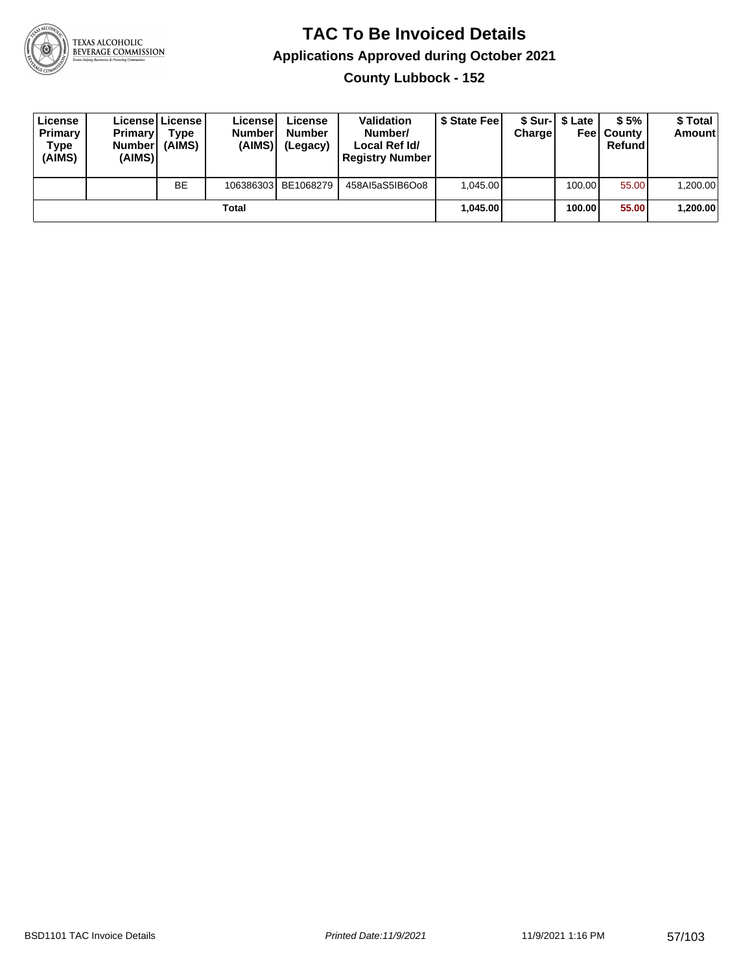

**County Lubbock - 152**

| License<br>Primary<br>Type<br>(AIMS) | <b>Primary</b><br><b>Number</b><br>(AIMS) | <b>License   License</b><br>Type<br>(AIMS) | License<br><b>Number</b><br>(AIMS) | License<br><b>Number</b><br>(Legacy) | <b>Validation</b><br>Number/<br>Local Ref Id/<br><b>Registry Number</b> | \$ State Feel | Charge | \$ Sur-1 \$ Late | \$5%<br><b>Feel County</b><br>Refund | \$ Total<br><b>Amount</b> |
|--------------------------------------|-------------------------------------------|--------------------------------------------|------------------------------------|--------------------------------------|-------------------------------------------------------------------------|---------------|--------|------------------|--------------------------------------|---------------------------|
|                                      |                                           | <b>BE</b>                                  |                                    | 106386303 BE1068279                  | 458AI5aS5IB6Oo8                                                         | 1.045.00      |        | 100.00           | 55.00                                | ا 200.00.                 |
|                                      |                                           |                                            | Total                              |                                      |                                                                         | 1.045.00      |        | 100.00           | 55.00                                | 1,200.00                  |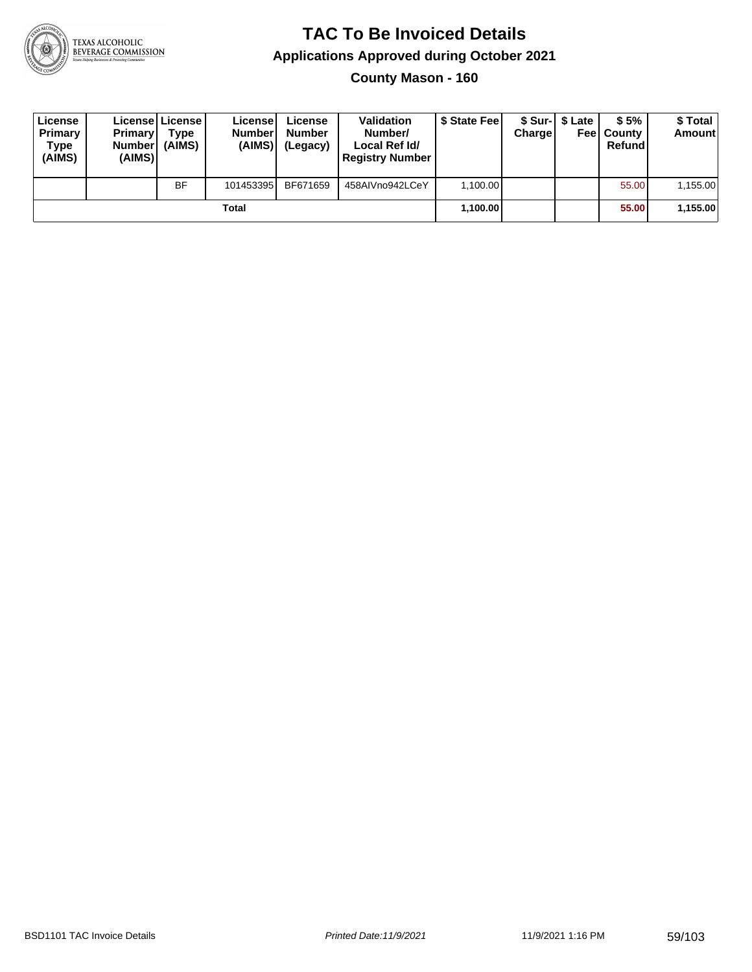

**County Mason - 160**

| License<br>Primary<br>Type<br>(AIMS) | <b>Primary</b><br>Number<br>(AIMS) | License License<br>Type<br>(AIMS) | License<br><b>Number</b><br>(AIMS) | License<br><b>Number</b><br>(Legacy) | <b>Validation</b><br>Number/<br>Local Ref Id/<br><b>Registry Number</b> | \$ State Feel | Charge | \$ Sur-1 \$ Late | \$5%<br><b>Feel County</b><br>Refund | \$ Total<br><b>Amount</b> |
|--------------------------------------|------------------------------------|-----------------------------------|------------------------------------|--------------------------------------|-------------------------------------------------------------------------|---------------|--------|------------------|--------------------------------------|---------------------------|
|                                      |                                    | <b>BF</b>                         | 101453395                          | BF671659                             | 458AIVno942LCeY                                                         | 1.100.00      |        |                  | 55.00                                | 1,155.00                  |
|                                      |                                    |                                   | Total                              |                                      |                                                                         | 1,100.00      |        |                  | 55.00                                | 1,155.00                  |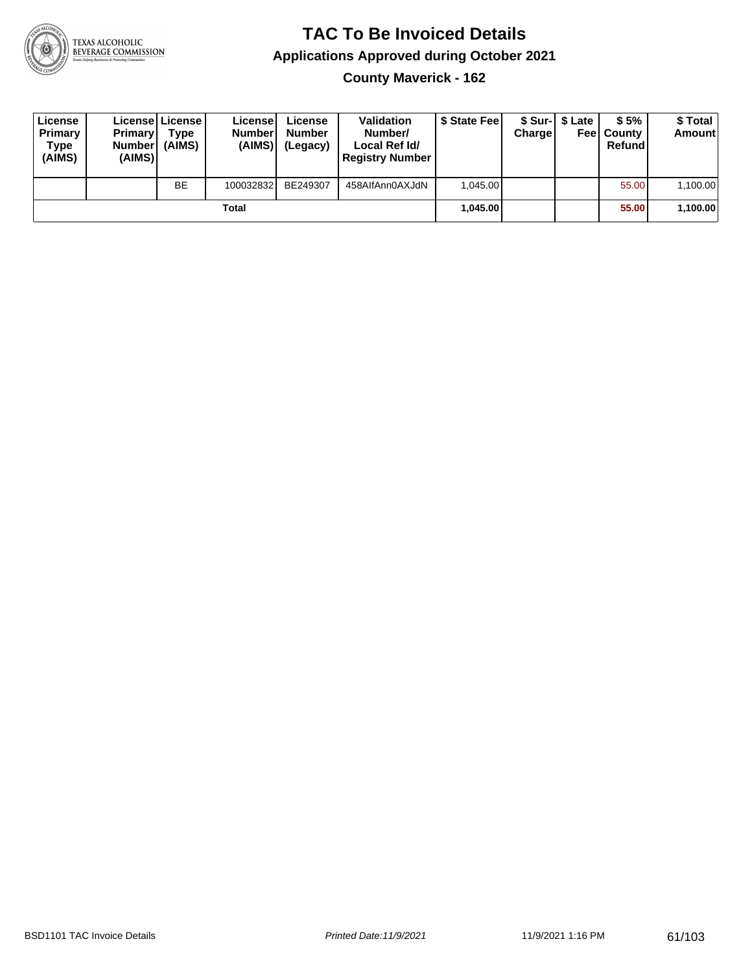

**County Maverick - 162**

| License<br>Primary<br>Type<br>(AIMS) | <b>Primary</b><br><b>Number</b><br>(AIMS) | License   License  <br>Type<br>(AIMS) | License<br><b>Numberl</b><br>(AIMS) | License<br><b>Number</b><br>(Legacy) | <b>Validation</b><br>Number/<br>Local Ref Id/<br><b>Registry Number</b> | \$ State Feel | Charge | \$ Sur-1 \$ Late | \$5%<br><b>Feel County</b><br>Refund | \$ Total<br>Amount |
|--------------------------------------|-------------------------------------------|---------------------------------------|-------------------------------------|--------------------------------------|-------------------------------------------------------------------------|---------------|--------|------------------|--------------------------------------|--------------------|
|                                      |                                           | <b>BE</b>                             | 100032832                           | BE249307                             | 458AlfAnn0AXJdN                                                         | 1.045.00      |        |                  | 55.00                                | 1,100.00           |
| Total                                |                                           |                                       |                                     |                                      |                                                                         | 1.045.00      |        |                  | 55.00                                | 1,100.00           |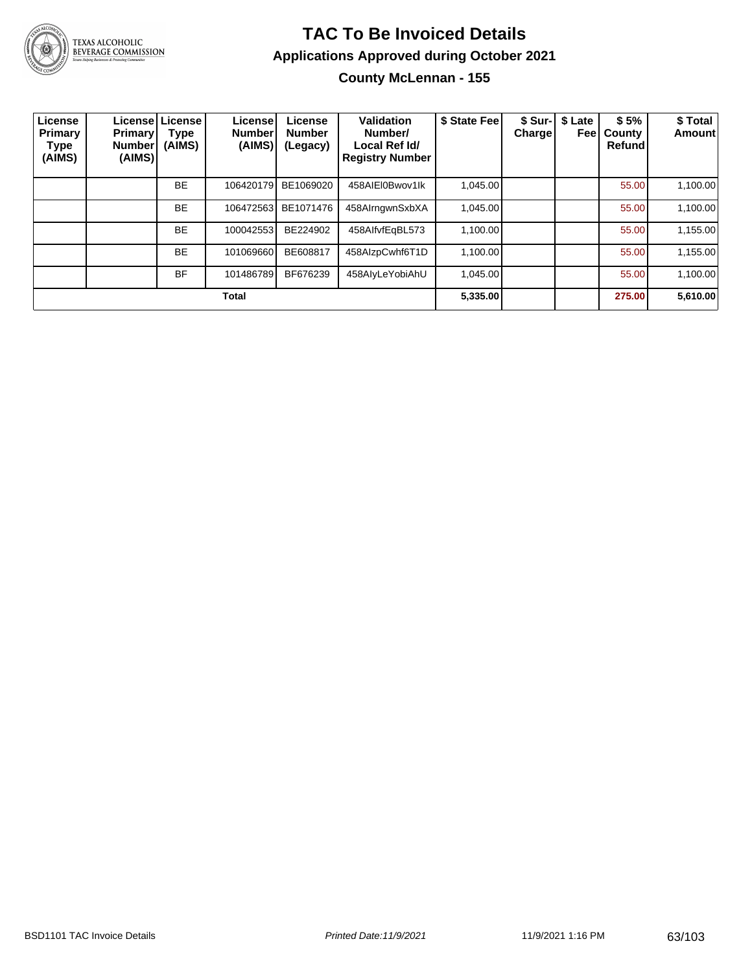

**County McLennan - 155**

| License<br>Primary<br><b>Type</b><br>(AIMS) | Primary!<br><b>Number</b><br>(AIMS) | Licensel License<br>Type<br>(AIMS) | License <sup>®</sup><br><b>Number</b><br>(AIMS) | License<br><b>Number</b><br>(Legacy) | Validation<br>Number/<br>Local Ref Id/<br><b>Registry Number</b> | \$ State Fee | \$ Sur-I<br>Charge | \$ Late<br>Feel | \$5%<br>County<br>Refund | \$Total<br><b>Amount</b> |
|---------------------------------------------|-------------------------------------|------------------------------------|-------------------------------------------------|--------------------------------------|------------------------------------------------------------------|--------------|--------------------|-----------------|--------------------------|--------------------------|
|                                             |                                     | <b>BE</b>                          | 106420179                                       | BE1069020                            | 458AIEI0Bwov1lk                                                  | 1.045.00     |                    |                 | 55.00                    | 1,100.00                 |
|                                             |                                     | <b>BE</b>                          | 106472563                                       | BE1071476                            | 458AlrngwnSxbXA                                                  | 1,045.00     |                    |                 | 55.00                    | 1,100.00                 |
|                                             |                                     | <b>BE</b>                          | 100042553                                       | BE224902                             | 458AlfvfEqBL573                                                  | 1,100.00     |                    |                 | 55.00                    | 1,155.00                 |
|                                             |                                     | <b>BE</b>                          | 101069660                                       | BE608817                             | 458AIzpCwhf6T1D                                                  | 1,100.00     |                    |                 | 55.00                    | 1,155.00                 |
|                                             |                                     | <b>BF</b>                          | 101486789                                       | BF676239                             | 458AlyLeYobiAhU                                                  | 1.045.00     |                    |                 | 55.00                    | 1.100.00                 |
| <b>Total</b>                                |                                     |                                    |                                                 |                                      |                                                                  |              |                    |                 | 275.00                   | 5,610.00                 |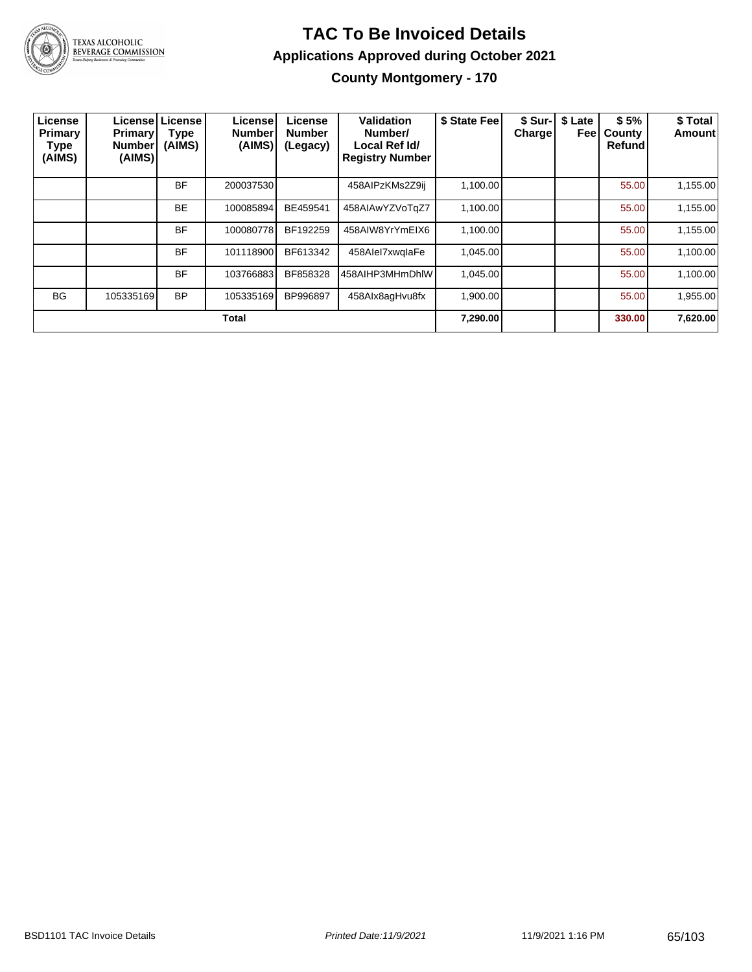

**County Montgomery - 170**

| License<br>Primary<br><b>Type</b><br>(AIMS) | <b>Primary!</b><br><b>Number</b><br>(AIMS) | Licensel License<br>Type<br>(AIMS) | License <sup>®</sup><br><b>Number</b><br>(AIMS) | License<br><b>Number</b><br>(Legacy) | Validation<br>Number/<br>Local Ref Id/<br><b>Registry Number</b> | \$ State Fee | \$ Sur-<br><b>Charge</b> | \$ Late<br>Feel | \$5%<br>County<br>Refund | \$ Total<br><b>Amount</b> |
|---------------------------------------------|--------------------------------------------|------------------------------------|-------------------------------------------------|--------------------------------------|------------------------------------------------------------------|--------------|--------------------------|-----------------|--------------------------|---------------------------|
|                                             |                                            | <b>BF</b>                          | 200037530                                       |                                      | 458AIPzKMs2Z9ij                                                  | 1,100.00     |                          |                 | 55.00                    | 1,155.00                  |
|                                             |                                            | <b>BE</b>                          | 100085894                                       | BE459541                             | 458AIAwYZVoTgZ7                                                  | 1,100.00     |                          |                 | 55.00                    | 1,155.00                  |
|                                             |                                            | <b>BF</b>                          | 100080778                                       | BF192259                             | 458AIW8YrYmEIX6                                                  | 1,100.00     |                          |                 | 55.00                    | 1,155.00                  |
|                                             |                                            | <b>BF</b>                          | 101118900                                       | BF613342                             | 458Alel7xwqlaFe                                                  | 1.045.00     |                          |                 | 55.00                    | 1,100.00                  |
|                                             |                                            | <b>BF</b>                          | 103766883                                       | BF858328                             | 458AIHP3MHmDhIW                                                  | 1,045.00     |                          |                 | 55.00                    | 1,100.00                  |
| <b>BG</b>                                   | 105335169                                  | <b>BP</b>                          | 105335169                                       | BP996897                             | 458Alx8agHvu8fx                                                  | 1,900.00     |                          |                 | 55.00                    | 1,955.00                  |
| <b>Total</b>                                |                                            |                                    |                                                 |                                      |                                                                  |              |                          |                 | 330.00                   | 7,620.00                  |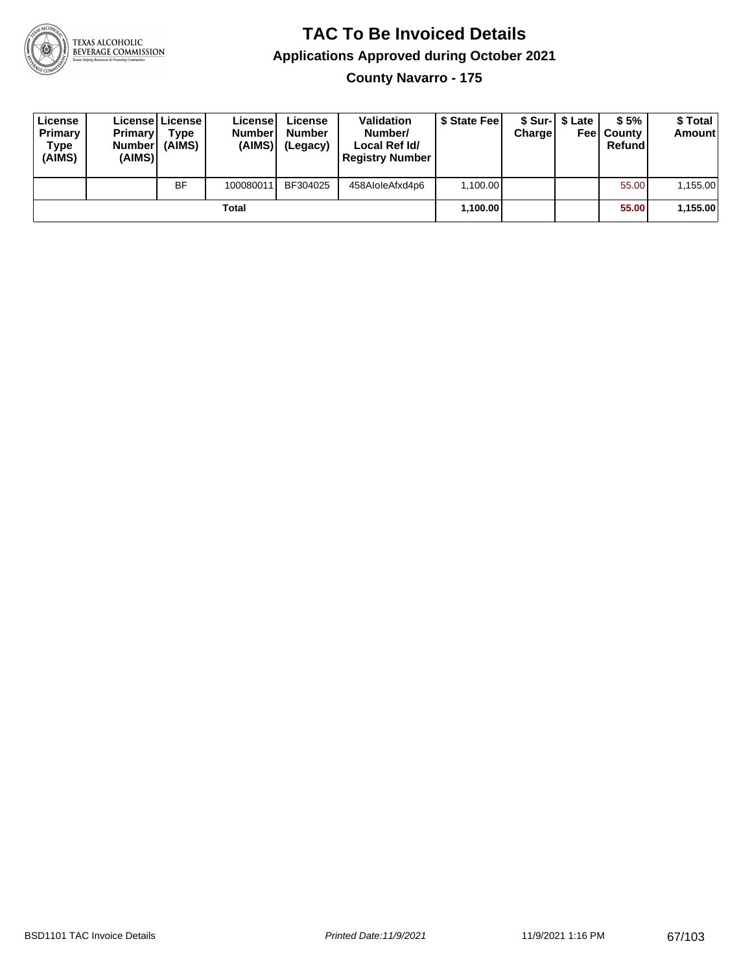

**County Navarro - 175**

| License<br>Primary<br>Type<br>(AIMS) | <b>Primary</b><br><b>Number</b><br>(AIMS) | License   License  <br>Type<br>(AIMS) | License<br><b>Numberl</b><br>(AIMS) | License<br><b>Number</b><br>(Legacy) | <b>Validation</b><br>Number/<br>Local Ref Id/<br><b>Registry Number</b> | \$ State Feel | Charge | \$ Sur-1 \$ Late | \$5%<br><b>Feel County</b><br>Refund | \$ Total<br>Amount |
|--------------------------------------|-------------------------------------------|---------------------------------------|-------------------------------------|--------------------------------------|-------------------------------------------------------------------------|---------------|--------|------------------|--------------------------------------|--------------------|
|                                      |                                           | <b>BF</b>                             | 100080011                           | BF304025                             | 458AloleAfxd4p6                                                         | 1.100.00      |        |                  | 55.00                                | 1,155.00           |
| Total                                |                                           |                                       |                                     |                                      |                                                                         | 1,100.00      |        |                  | 55.00                                | 1,155.00           |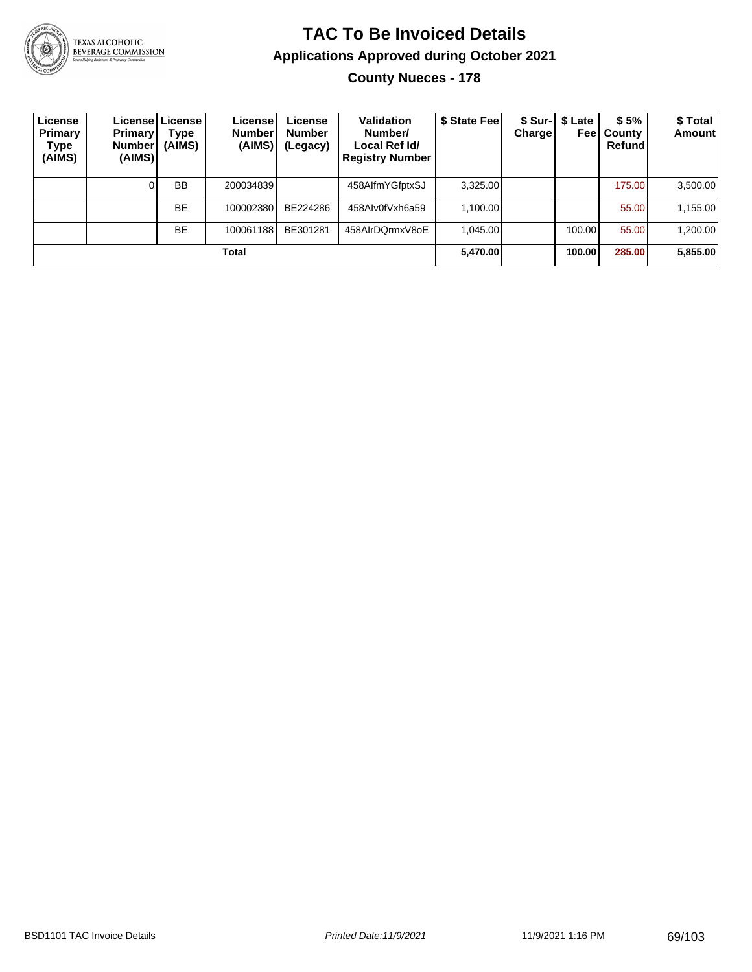

TEXAS ALCOHOLIC<br>BEVERAGE COMMISSION

#### **TAC To Be Invoiced Details Applications Approved during October 2021 County Nueces - 178**

| License<br>Primary<br>Type<br>(AIMS) | <b>Primary</b><br>Number <sup>'</sup><br>(AIMS) | Licensel License I<br>Type<br>(AIMS) | License!<br><b>Number</b><br>(AIMS) | License<br><b>Number</b><br>(Legacy) | Validation<br>Number/<br>Local Ref Id/<br><b>Registry Number</b> | \$ State Feel | Charge | \$ Sur-1 \$ Late<br>Feel | \$5%<br>County<br>Refundl | \$ Total<br><b>Amount</b> |
|--------------------------------------|-------------------------------------------------|--------------------------------------|-------------------------------------|--------------------------------------|------------------------------------------------------------------|---------------|--------|--------------------------|---------------------------|---------------------------|
|                                      |                                                 | <b>BB</b>                            | 200034839                           |                                      | 458AlfmYGfptxSJ                                                  | 3.325.00      |        |                          | 175.00                    | 3,500.00                  |
|                                      |                                                 | <b>BE</b>                            | 100002380                           | BE224286                             | 458Alv0fVxh6a59                                                  | 1.100.00      |        |                          | 55.00                     | 1,155.00                  |
|                                      |                                                 | <b>BE</b>                            | 100061188                           | BE301281                             | 458AIrDQrmxV8oE                                                  | 1.045.00      |        | 100.00                   | 55.00                     | 1,200.00                  |
| Total                                |                                                 |                                      |                                     |                                      |                                                                  | 5,470.00      |        | 100.00                   | 285.00                    | 5,855.00                  |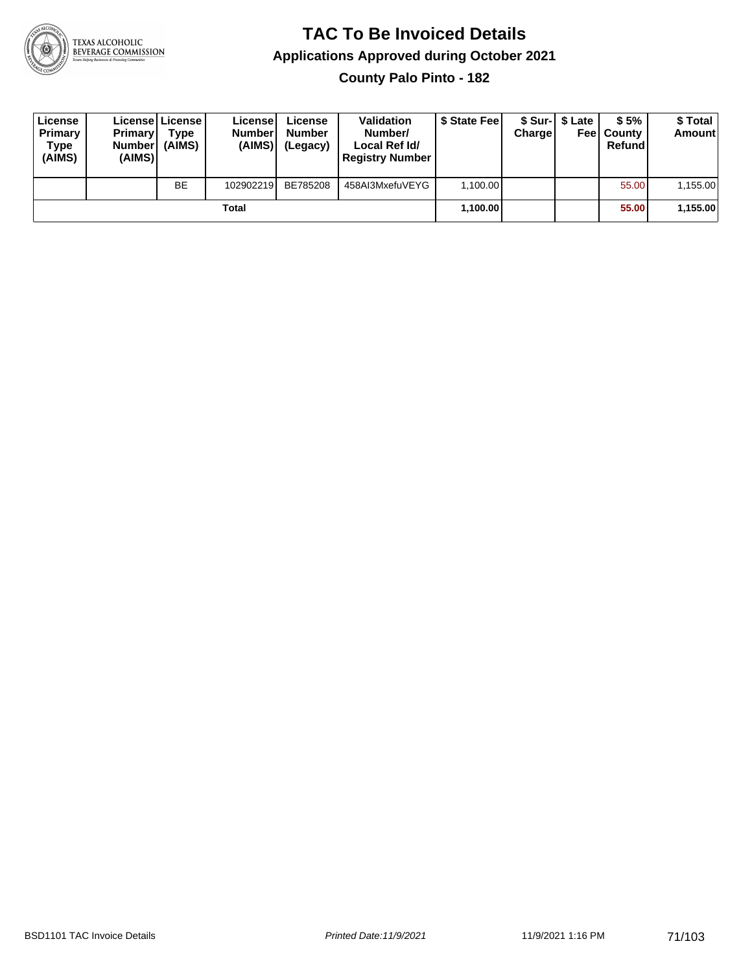

**County Palo Pinto - 182**

| License<br>Primary<br>Type<br>(AIMS) | <b>Primary</b><br><b>Number</b><br>(AIMS) | License License<br>Type<br>(AIMS) | License<br><b>Number</b><br>(AIMS) | License<br><b>Number</b><br>(Legacy) | <b>Validation</b><br>Number/<br>Local Ref Id/<br><b>Registry Number</b> | \$ State Feel | Charge | \$ Sur-1 \$ Late | \$5%<br><b>Feel County</b><br>Refund | \$ Total<br><b>Amount</b> |
|--------------------------------------|-------------------------------------------|-----------------------------------|------------------------------------|--------------------------------------|-------------------------------------------------------------------------|---------------|--------|------------------|--------------------------------------|---------------------------|
|                                      |                                           | <b>BE</b>                         | 102902219                          | BE785208                             | 458AI3MxefuVEYG                                                         | 1.100.00      |        |                  | 55.00                                | 1,155.00                  |
| Total                                |                                           |                                   |                                    |                                      |                                                                         | 1,100.00      |        |                  | 55.00                                | 1,155.00                  |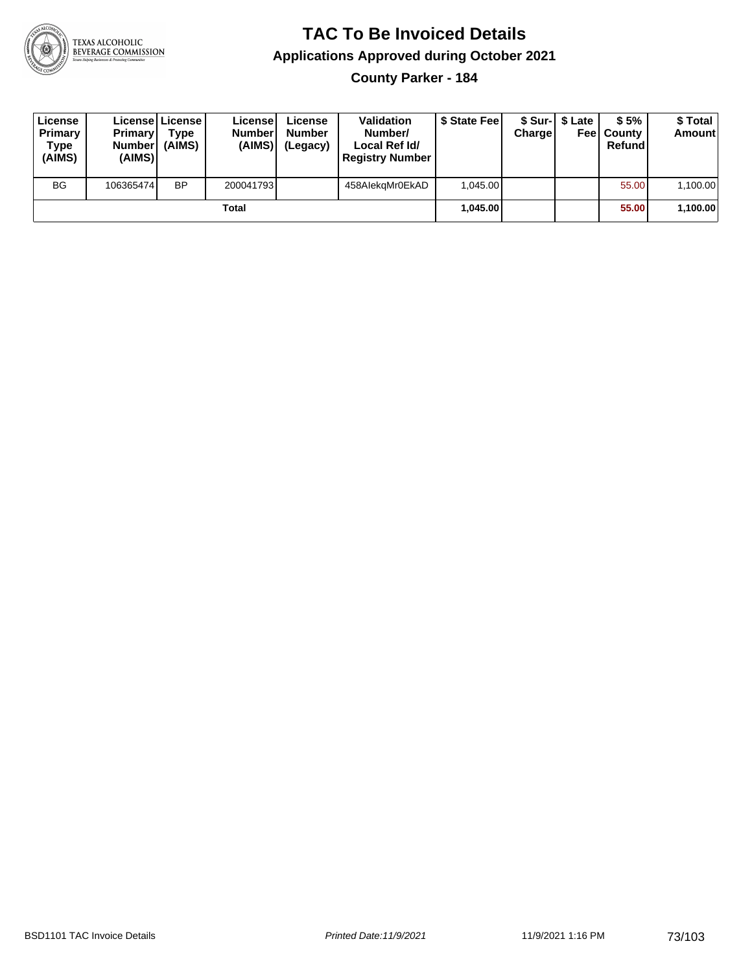

**County Parker - 184**

| License<br>Primary<br>Type<br>(AIMS) | <b>Primary</b><br>Number<br>(AIMS) | License   License  <br>Type<br>(AIMS) | License<br><b>Number</b><br>(AIMS) | License<br><b>Number</b><br>(Legacy) | <b>Validation</b><br>Number/<br>Local Ref Id/<br><b>Registry Number</b> | \$ State Feel | Charge | \$ Sur-1 \$ Late | \$5%<br><b>Feel County</b><br>Refund | \$ Total<br><b>Amount</b> |
|--------------------------------------|------------------------------------|---------------------------------------|------------------------------------|--------------------------------------|-------------------------------------------------------------------------|---------------|--------|------------------|--------------------------------------|---------------------------|
| <b>BG</b>                            | 106365474                          | <b>BP</b>                             | 200041793                          |                                      | 458AlekgMr0EkAD                                                         | 1.045.00      |        |                  | 55.00                                | 1,100.00                  |
|                                      |                                    |                                       | Total                              |                                      |                                                                         | 1.045.00      |        |                  | 55.00                                | 1,100.00                  |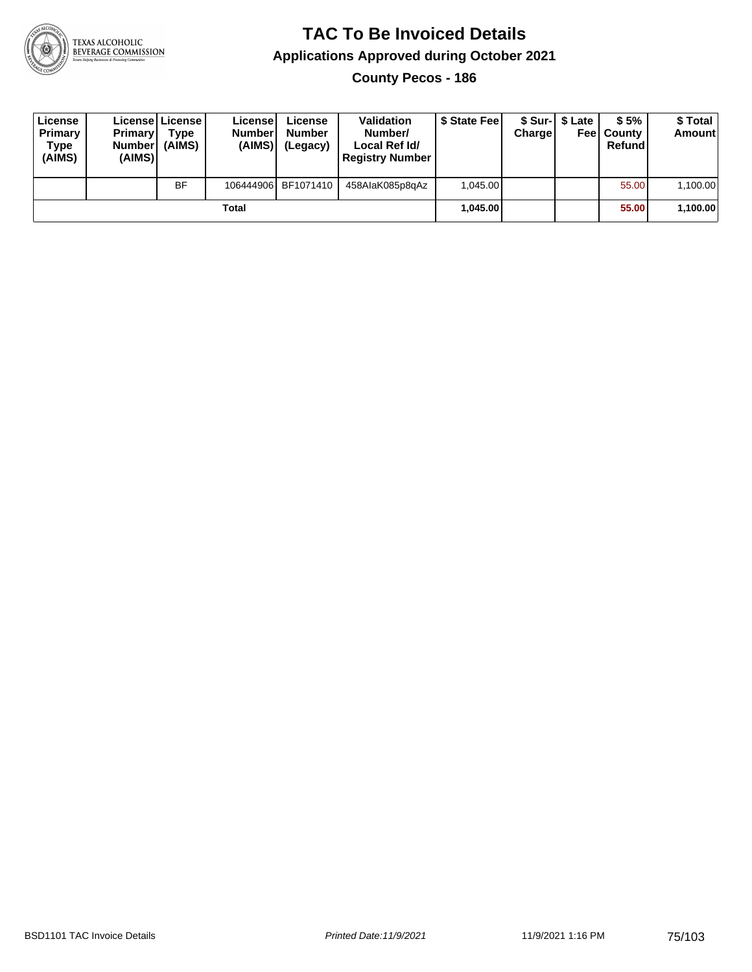

**County Pecos - 186**

| License<br>Primary<br>Type<br>(AIMS) | <b>Primary</b><br>Number<br>(AIMS) | License   License  <br>Type<br>(AIMS) | License<br><b>Number</b><br>(AIMS) | License<br><b>Number</b><br>(Legacy) | <b>Validation</b><br>Number/<br>Local Ref Id/<br><b>Registry Number</b> | \$ State Feel | Charge | \$ Sur-1 \$ Late | \$5%<br><b>Feel County</b><br>Refund | \$ Total<br><b>Amount</b> |
|--------------------------------------|------------------------------------|---------------------------------------|------------------------------------|--------------------------------------|-------------------------------------------------------------------------|---------------|--------|------------------|--------------------------------------|---------------------------|
|                                      |                                    | <b>BF</b>                             |                                    | 106444906 BF1071410                  | 458AlaK085p8qAz                                                         | 1.045.00      |        |                  | 55.00                                | 1,100.00                  |
|                                      |                                    |                                       | Total                              |                                      |                                                                         | 1.045.00      |        |                  | 55.00                                | 1,100.00                  |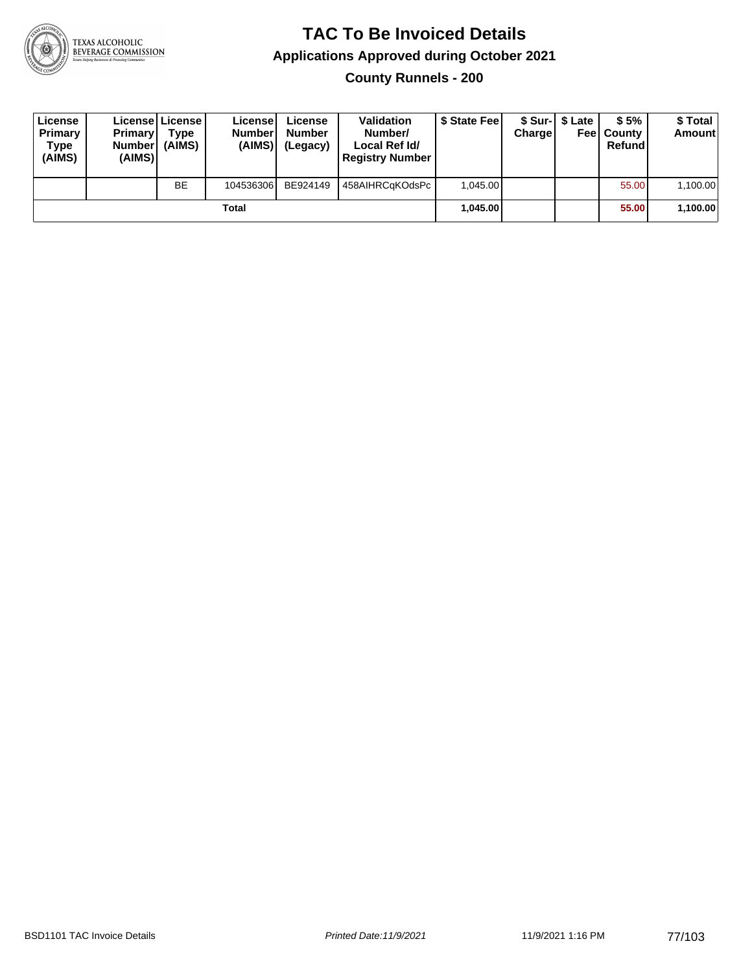

**County Runnels - 200**

| License<br>Primary<br>Type<br>(AIMS) | <b>Primary</b><br>Number<br>(AIMS) | Licensel License<br>Type<br>(AIMS) | License<br><b>Number</b><br>(AIMS) | License<br><b>Number</b><br>(Legacy) | <b>Validation</b><br>Number/<br>Local Ref Id/<br><b>Registry Number</b> | \$ State Feel | Charge | \$ Sur-1 \$ Late | \$5%<br><b>Feel County</b><br>Refund | \$ Total<br><b>Amount</b> |
|--------------------------------------|------------------------------------|------------------------------------|------------------------------------|--------------------------------------|-------------------------------------------------------------------------|---------------|--------|------------------|--------------------------------------|---------------------------|
|                                      |                                    | <b>BE</b>                          | 104536306                          | BE924149                             | 458AIHRCaKOdsPc                                                         | 1.045.00      |        |                  | 55.00                                | 1,100.00                  |
|                                      |                                    |                                    | Total                              |                                      |                                                                         | 1.045.00      |        |                  | 55.00                                | 1,100.00                  |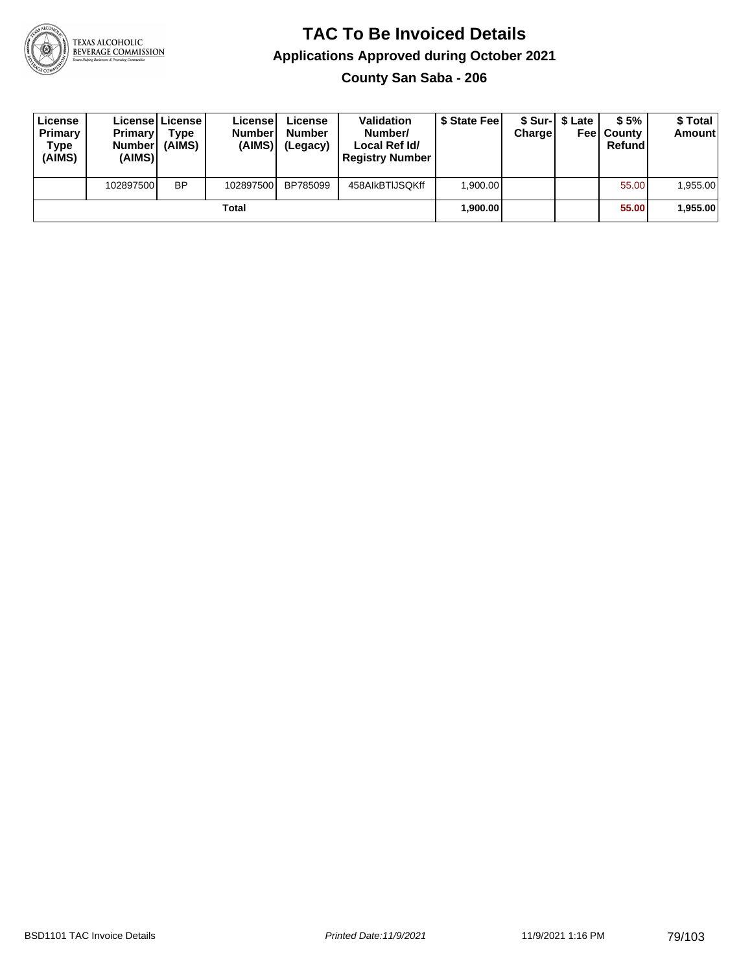

**County San Saba - 206**

| License<br>Primary<br>Type<br>(AIMS) | <b>Primary</b><br><b>Number</b><br>(AIMS) | <b>License   License</b><br>Type<br>(AIMS) | License<br><b>Number</b><br>(AIMS) | License<br><b>Number</b><br>(Legacy) | <b>Validation</b><br>Number/<br>Local Ref Id/<br><b>Registry Number</b> | \$ State Feel | Charge | \$ Sur-1 \$ Late | \$5%<br><b>Feel County</b><br>Refund | \$ Total<br><b>Amount</b> |
|--------------------------------------|-------------------------------------------|--------------------------------------------|------------------------------------|--------------------------------------|-------------------------------------------------------------------------|---------------|--------|------------------|--------------------------------------|---------------------------|
|                                      | 102897500                                 | <b>BP</b>                                  | 102897500                          | BP785099                             | 458AIkBTIJSQKff                                                         | 1.900.00      |        |                  | 55.00                                | 1,955.00                  |
|                                      |                                           |                                            | Total                              |                                      |                                                                         | 1.900.00      |        |                  | 55.00                                | 1,955.00                  |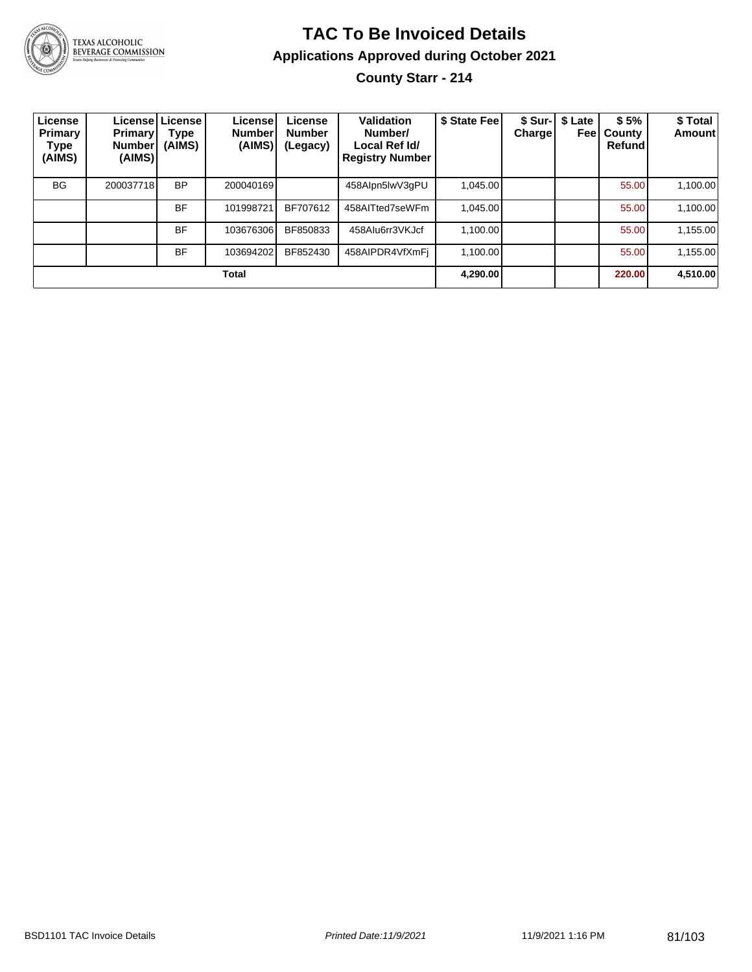

# **TAC To Be Invoiced Details Applications Approved during October 2021**

**County Starr - 214**

| License<br>Primary<br>Type<br>(AIMS) | <b>Primary</b><br><b>Number!</b><br>(AIMS) | Licensel License I<br>Type<br>(AIMS) | License<br><b>Number</b><br>(AIMS) | License<br><b>Number</b><br>(Legacy) | Validation<br>Number/<br>Local Ref Id/<br><b>Registry Number</b> | \$ State Fee | Charge | \$ Sur-   \$ Late<br>Feel | \$5%<br>County<br>Refund | \$Total<br><b>Amount</b> |
|--------------------------------------|--------------------------------------------|--------------------------------------|------------------------------------|--------------------------------------|------------------------------------------------------------------|--------------|--------|---------------------------|--------------------------|--------------------------|
| <b>BG</b>                            | 200037718                                  | <b>BP</b>                            | 200040169                          |                                      | 458Alpn5lwV3qPU                                                  | 1.045.00     |        |                           | 55.00                    | 1,100.00                 |
|                                      |                                            | <b>BF</b>                            | 101998721                          | BF707612                             | 458AITted7seWFm                                                  | 1.045.00     |        |                           | 55.00                    | 1,100.00                 |
|                                      |                                            | <b>BF</b>                            | 103676306                          | BF850833                             | 458AIu6rr3VKJcf                                                  | 1,100.00     |        |                           | 55.00                    | 1,155.00                 |
|                                      |                                            | <b>BF</b>                            | 103694202                          | BF852430                             | 458AIPDR4VfXmFi                                                  | 1.100.00     |        |                           | 55.00                    | 1,155.00                 |
|                                      |                                            |                                      | Total                              |                                      |                                                                  | 4.290.00     |        |                           | 220.00                   | 4,510.00                 |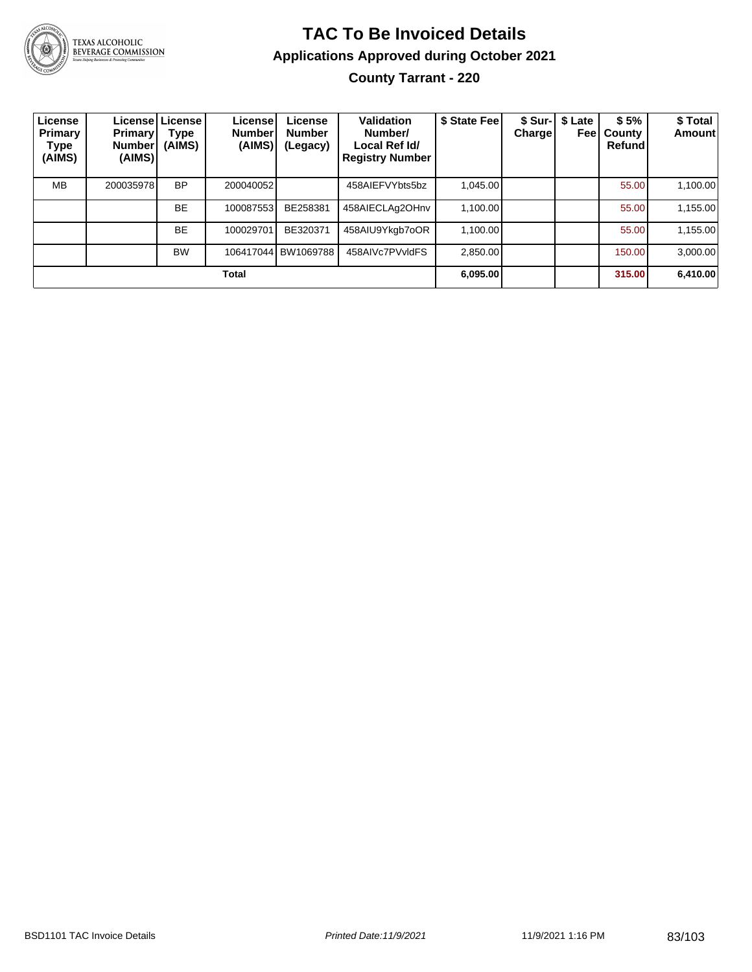

#### **TAC To Be Invoiced Details Applications Approved during October 2021 County Tarrant - 220**

| License<br>Primary<br>Type<br>(AIMS) | <b>Primary</b><br><b>Number</b><br>(AIMS) | License License I<br>Type<br>(AIMS) | License!<br><b>Number</b><br>(AIMS) | License<br><b>Number</b><br>(Legacy) | <b>Validation</b><br>Number/<br>Local Ref Id/<br><b>Registry Number</b> | \$ State Fee | <b>Charge</b> | \$ Sur-   \$ Late<br>Feel | \$5%<br>County<br>Refund | \$ Total<br><b>Amount</b> |
|--------------------------------------|-------------------------------------------|-------------------------------------|-------------------------------------|--------------------------------------|-------------------------------------------------------------------------|--------------|---------------|---------------------------|--------------------------|---------------------------|
| <b>MB</b>                            | 200035978                                 | <b>BP</b>                           | 200040052                           |                                      | 458AIEFVYbts5bz                                                         | 1.045.00     |               |                           | 55.00                    | 1,100.00                  |
|                                      |                                           | <b>BE</b>                           | 100087553                           | BE258381                             | 458AIECLAg2OHnv                                                         | 1,100.00     |               |                           | 55.00                    | 1,155.00                  |
|                                      |                                           | <b>BE</b>                           | 100029701                           | BE320371                             | 458AIU9Ykgb7oOR                                                         | 1.100.00     |               |                           | 55.00                    | 1,155.00                  |
|                                      |                                           | <b>BW</b>                           |                                     | 106417044 BW1069788                  | 458AIVc7PVvldFS                                                         | 2.850.00     |               |                           | 150.00                   | 3.000.00                  |
|                                      |                                           |                                     | Total                               |                                      |                                                                         | 6,095.00     |               |                           | 315.00                   | 6,410.00                  |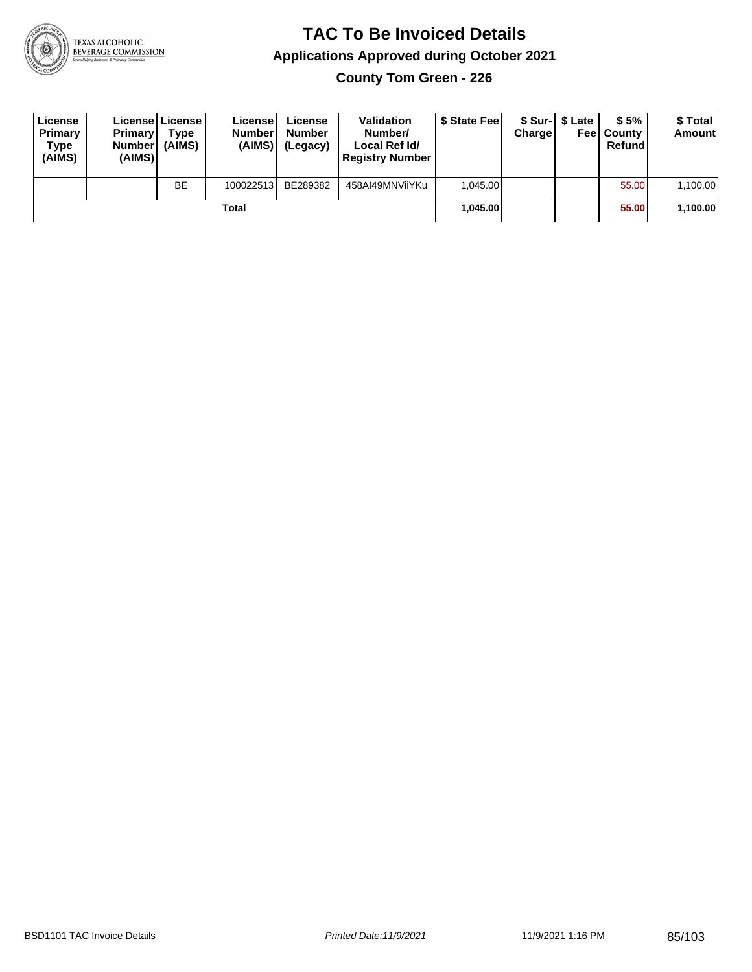

**County Tom Green - 226**

| License<br>Primary<br>Type<br>(AIMS) | <b>Primary</b><br><b>Number</b><br>(AIMS) | License   License  <br>Type<br>(AIMS) | Licensel<br><b>Number</b><br>(AIMS) | License<br><b>Number</b><br>(Legacy) | <b>Validation</b><br>Number/<br>Local Ref Id/<br><b>Registry Number</b> | \$ State Feel | Charge | \$ Sur-1 \$ Late | \$5%<br><b>Feel County</b><br>Refund | \$ Total<br><b>Amount</b> |
|--------------------------------------|-------------------------------------------|---------------------------------------|-------------------------------------|--------------------------------------|-------------------------------------------------------------------------|---------------|--------|------------------|--------------------------------------|---------------------------|
|                                      |                                           | <b>BE</b>                             | 100022513                           | BE289382                             | 458AI49MNViiYKu                                                         | 1.045.00      |        |                  | 55.00                                | 1,100.00                  |
|                                      |                                           |                                       | Total                               |                                      |                                                                         | 1.045.00      |        |                  | 55.00                                | 1,100.00                  |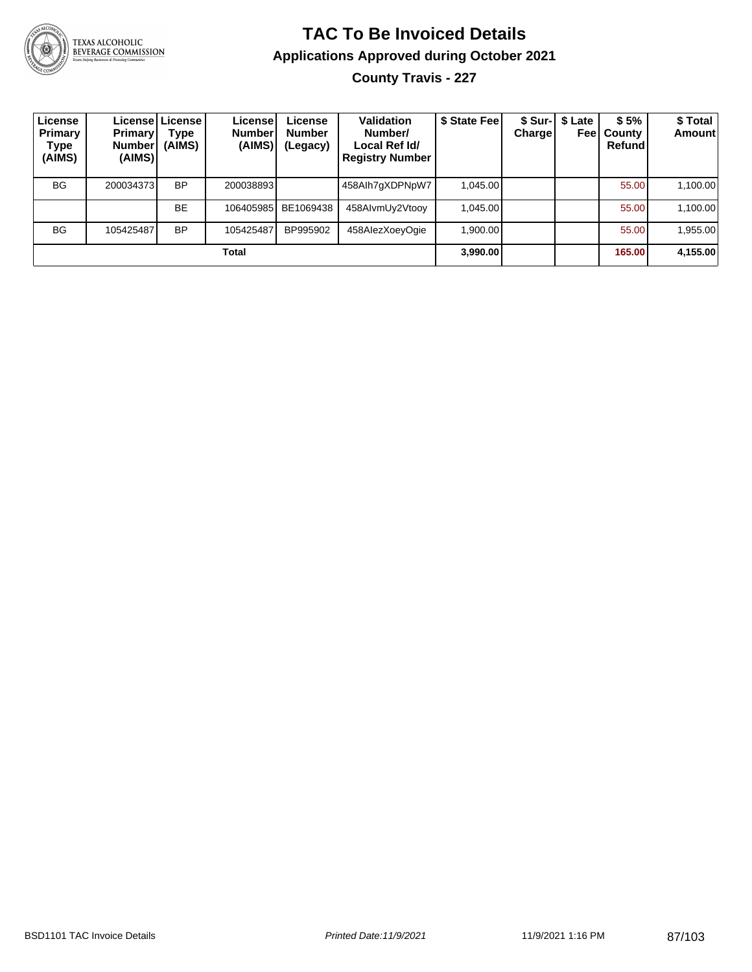

## **TAC To Be Invoiced Details Applications Approved during October 2021**

**County Travis - 227**

| License<br>Primary<br>Type<br>(AIMS) | <b>Primary</b><br><b>Number</b><br>(AIMS) | Licensel License I<br>Type<br>(AIMS) | License!<br><b>Number</b><br>(AIMS) | License<br><b>Number</b><br>(Legacy) | <b>Validation</b><br>Number/<br>Local Ref Id/<br><b>Registry Number</b> | \$ State Fee | <b>Charge</b> | \$ Sur-   \$ Late<br>Feel | \$5%<br>County<br>Refund | \$Total<br><b>Amount</b> |
|--------------------------------------|-------------------------------------------|--------------------------------------|-------------------------------------|--------------------------------------|-------------------------------------------------------------------------|--------------|---------------|---------------------------|--------------------------|--------------------------|
| <b>BG</b>                            | 200034373                                 | <b>BP</b>                            | 200038893                           |                                      | 458Alh7gXDPNpW7                                                         | 1.045.00     |               |                           | 55.00                    | 1,100.00                 |
|                                      |                                           | <b>BE</b>                            | 106405985                           | BE1069438                            | 458AIvmUy2Vtooy                                                         | 1,045.00     |               |                           | 55.00                    | 1,100.00                 |
| <b>BG</b>                            | 105425487                                 | <b>BP</b>                            | 105425487                           | BP995902                             | 458AlezXoeyOgie                                                         | 1.900.00     |               |                           | 55.00                    | 1,955.00                 |
|                                      |                                           |                                      | Total                               |                                      |                                                                         | 3,990.00     |               |                           | 165.00                   | 4,155.00                 |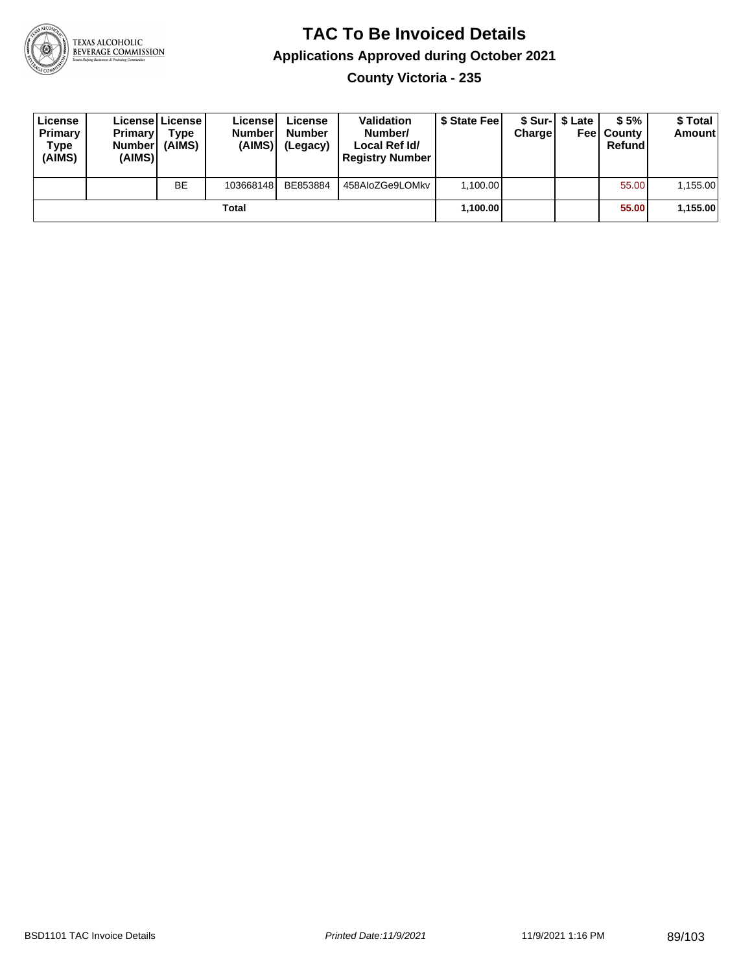

**County Victoria - 235**

| License<br>Primary<br>Type<br>(AIMS) | <b>Primary</b><br><b>Number</b><br>(AIMS) | Licensel License I<br>Type<br>(AIMS) | License<br><b>Number</b><br>(AIMS) | License<br><b>Number</b><br>(Legacy) | <b>Validation</b><br>Number/<br>Local Ref Id/<br><b>Registry Number</b> | \$ State Fee | Charge | \$ Sur-1 \$ Late | \$5%<br><b>Feel County</b><br>Refund | \$ Total<br><b>Amount</b> |
|--------------------------------------|-------------------------------------------|--------------------------------------|------------------------------------|--------------------------------------|-------------------------------------------------------------------------|--------------|--------|------------------|--------------------------------------|---------------------------|
|                                      |                                           | <b>BE</b>                            | 103668148                          | BE853884                             | 458AloZGe9LOMkv                                                         | 1.100.00     |        |                  | 55.00                                | 1,155.00                  |
|                                      |                                           |                                      | Total                              |                                      |                                                                         | 1,100.00     |        |                  | 55.00                                | 1,155.00                  |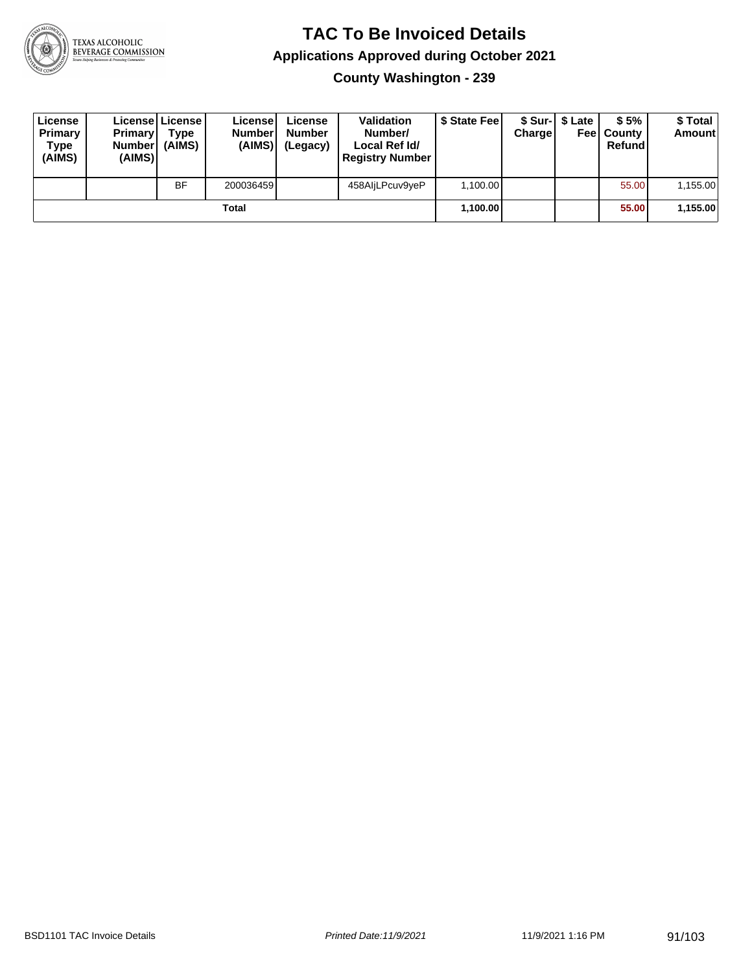

**County Washington - 239**

| License<br>Primary<br>Type<br>(AIMS) | <b>Primary</b><br><b>Number</b><br>(AIMS) | <b>License   License</b><br>Type<br>(AIMS) | License<br><b>Numberl</b><br>(AIMS) | License<br><b>Number</b><br>(Legacy) | <b>Validation</b><br>Number/<br>Local Ref Id/<br><b>Registry Number</b> | \$ State Feel | Charge | \$ Sur-1 \$ Late | \$5%<br><b>Feel County</b><br>Refund | \$ Total<br><b>Amount</b> |
|--------------------------------------|-------------------------------------------|--------------------------------------------|-------------------------------------|--------------------------------------|-------------------------------------------------------------------------|---------------|--------|------------------|--------------------------------------|---------------------------|
|                                      |                                           | <b>BF</b>                                  | 200036459                           |                                      | 458AljLPcuv9yeP                                                         | 1,100.00      |        |                  | 55.00                                | 1,155.00                  |
|                                      |                                           |                                            | Total                               |                                      |                                                                         | 1.100.00      |        |                  | 55.00                                | 1,155.00                  |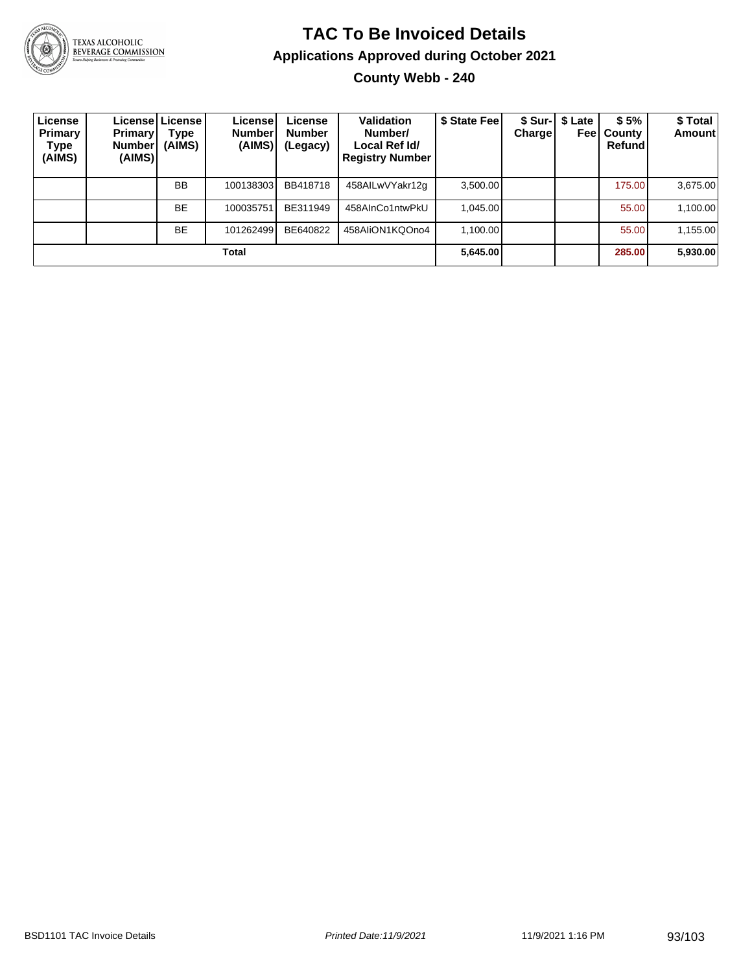

# **TAC To Be Invoiced Details Applications Approved during October 2021**

**County Webb - 240**

| License<br>Primary<br>Type<br>(AIMS) | <b>Primary</b><br><b>Number!</b><br>(AIMS) | Licensel License I<br>Type<br>(AIMS) | License<br><b>Number</b><br>(AIMS) | License<br><b>Number</b><br>(Legacy) | <b>Validation</b><br>Number/<br>Local Ref Id/<br><b>Registry Number</b> | \$ State Feel | <b>Charge</b> | \$ Sur-   \$ Late<br>Feel | \$5%<br>County<br>Refund | \$Total<br><b>Amount</b> |
|--------------------------------------|--------------------------------------------|--------------------------------------|------------------------------------|--------------------------------------|-------------------------------------------------------------------------|---------------|---------------|---------------------------|--------------------------|--------------------------|
|                                      |                                            | <b>BB</b>                            | 100138303                          | BB418718                             | 458AILwVYakr12g                                                         | 3,500.00      |               |                           | 175.00                   | 3,675.00                 |
|                                      |                                            | <b>BE</b>                            | 100035751                          | BE311949                             | 458AInCo1ntwPkU                                                         | 1.045.00      |               |                           | 55.00                    | 1,100.00                 |
|                                      |                                            | <b>BE</b>                            | 101262499                          | BE640822                             | 458AIiON1KQOno4                                                         | 1.100.00      |               |                           | 55.00                    | 1,155.00                 |
|                                      |                                            |                                      | Total                              |                                      |                                                                         | 5,645.00      |               |                           | 285.00                   | 5,930.00                 |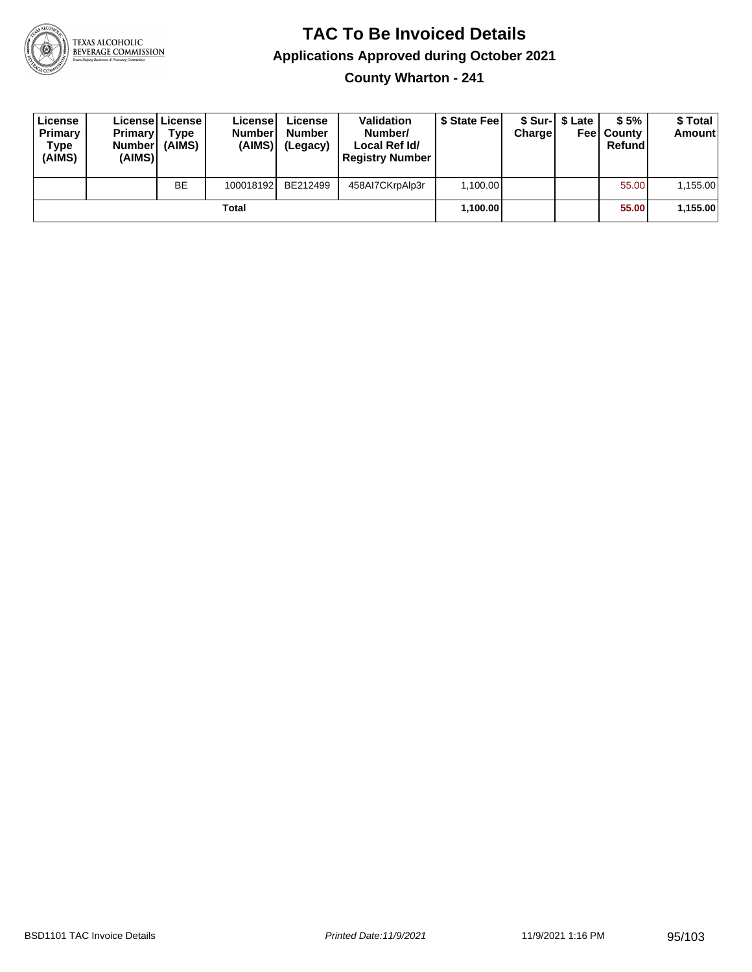

**County Wharton - 241**

| License<br>Primary<br>Type<br>(AIMS) | <b>Primary</b><br><b>Number</b><br>(AIMS) | <b>License   License</b><br>Type<br>(AIMS) | License<br><b>Number</b><br>(AIMS) | License<br><b>Number</b><br>(Legacy) | <b>Validation</b><br>Number/<br>Local Ref Id/<br><b>Registry Number</b> | \$ State Feel | Charge | \$ Sur-1 \$ Late | \$5%<br><b>Feel County</b><br>Refund | \$ Total<br><b>Amount</b> |
|--------------------------------------|-------------------------------------------|--------------------------------------------|------------------------------------|--------------------------------------|-------------------------------------------------------------------------|---------------|--------|------------------|--------------------------------------|---------------------------|
|                                      |                                           | <b>BE</b>                                  | 100018192                          | BE212499                             | 458AI7CKrpAlp3r                                                         | 1,100.00      |        |                  | 55.00                                | 1,155.00                  |
|                                      |                                           |                                            | Total                              |                                      |                                                                         | 1,100.00      |        |                  | 55.00                                | 1,155.00                  |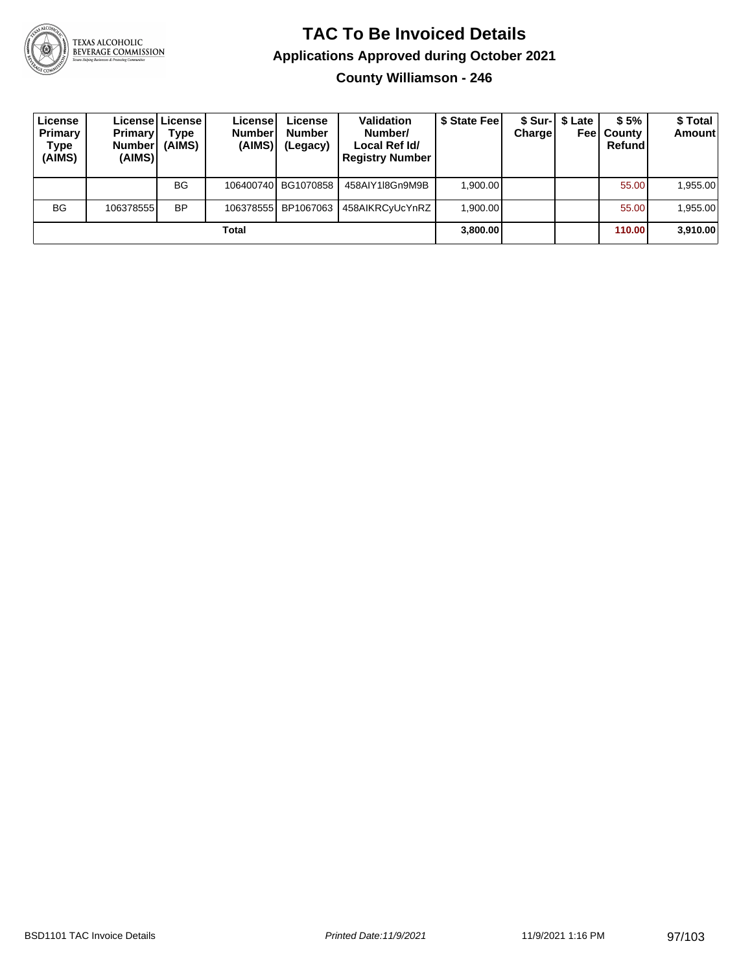

**County Williamson - 246**

| License<br>Primary<br><b>Type</b><br>(AIMS) | <b>Primary</b><br><b>Number</b><br>(AIMS) | Licensel License I<br><b>Type</b><br>(AIMS) | License<br><b>Number</b><br>(AIMS) | License<br><b>Number</b><br>(Legacy) | <b>Validation</b><br>Number/<br>Local Ref Id/<br><b>Registry Number</b> | \$ State Feel | <b>Charge</b> | \$ Sur-1 \$ Late<br>Feel | \$5%<br>County<br>Refund | \$Total<br><b>Amount</b> |
|---------------------------------------------|-------------------------------------------|---------------------------------------------|------------------------------------|--------------------------------------|-------------------------------------------------------------------------|---------------|---------------|--------------------------|--------------------------|--------------------------|
|                                             |                                           | <b>BG</b>                                   |                                    | 106400740 BG1070858                  | 458AIY1I8Gn9M9B                                                         | 1,900.00      |               |                          | 55.00                    | 1,955.00                 |
| <b>BG</b>                                   | 106378555 <b>1</b>                        | <b>BP</b>                                   | 106378555                          | BP1067063                            | 458AIKRCyUcYnRZ                                                         | 1.900.00      |               |                          | 55.00                    | 1,955.00                 |
| Total                                       |                                           |                                             |                                    |                                      |                                                                         | 3,800.00      |               |                          | 110.00                   | 3,910.00                 |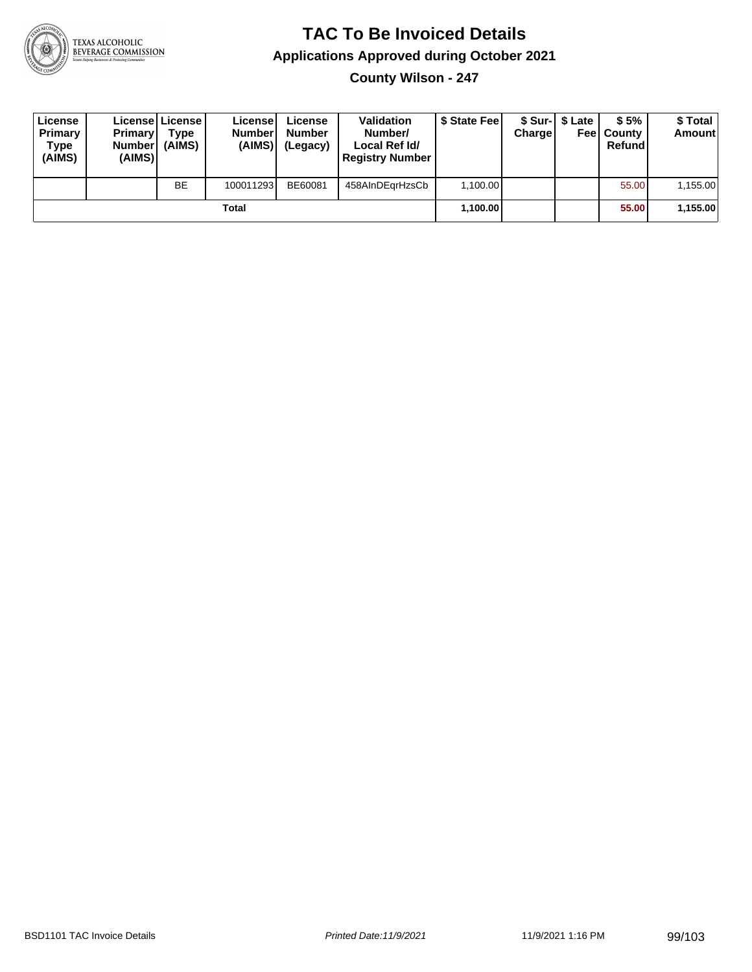

**County Wilson - 247**

| License<br>Primary<br>Type<br>(AIMS) | <b>Primary</b><br>Number<br>(AIMS) | License License<br>Type<br>(AIMS) | License<br><b>Number</b><br>(AIMS) | License<br><b>Number</b><br>(Legacy) | <b>Validation</b><br>Number/<br>Local Ref Id/<br><b>Registry Number</b> | \$ State Feel | Charge | \$ Sur-1 \$ Late | \$5%<br><b>Feel County</b><br>Refund | \$ Total<br><b>Amount</b> |
|--------------------------------------|------------------------------------|-----------------------------------|------------------------------------|--------------------------------------|-------------------------------------------------------------------------|---------------|--------|------------------|--------------------------------------|---------------------------|
|                                      |                                    | <b>BE</b>                         | 100011293                          | BE60081                              | 458AInDEarHzsCb                                                         | 1.100.00      |        |                  | 55.00                                | 1,155.00                  |
| Total                                |                                    |                                   |                                    |                                      |                                                                         | 1,100.00      |        |                  | 55.00                                | 1,155.00                  |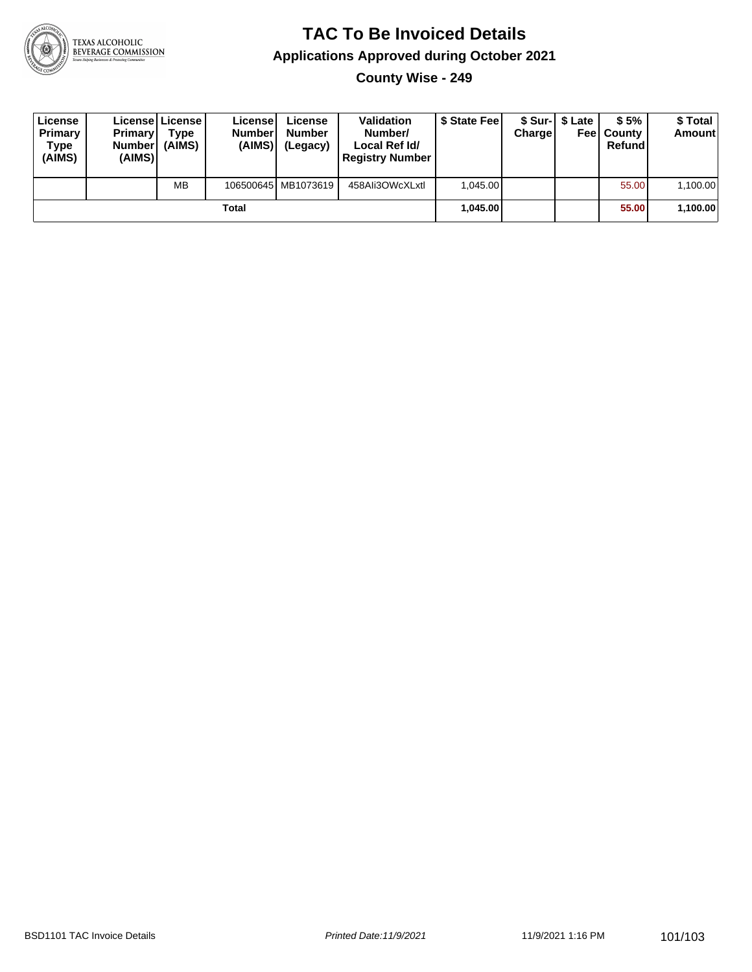

**County Wise - 249**

| License<br>Primary<br>Type<br>(AIMS) | <b>Primary</b><br><b>Number</b><br>(AIMS) | License   License  <br>Type<br>(AIMS) | License<br><b>Number</b><br>(AIMS) | License<br><b>Number</b><br>(Legacy) | <b>Validation</b><br>Number/<br>Local Ref Id/<br><b>Registry Number</b> | \$ State Feel | Charge | \$ Sur-1 \$ Late | \$5%<br><b>Feel County</b><br>Refund | \$ Total<br>Amount |
|--------------------------------------|-------------------------------------------|---------------------------------------|------------------------------------|--------------------------------------|-------------------------------------------------------------------------|---------------|--------|------------------|--------------------------------------|--------------------|
|                                      |                                           | <b>MB</b>                             |                                    | 106500645 MB1073619                  | 458Ali3OWcXLxtl                                                         | 1.045.00      |        |                  | 55.00                                | 1,100.00           |
| Total                                |                                           |                                       |                                    |                                      |                                                                         | 1.045.00      |        |                  | 55.00                                | 1,100.00           |